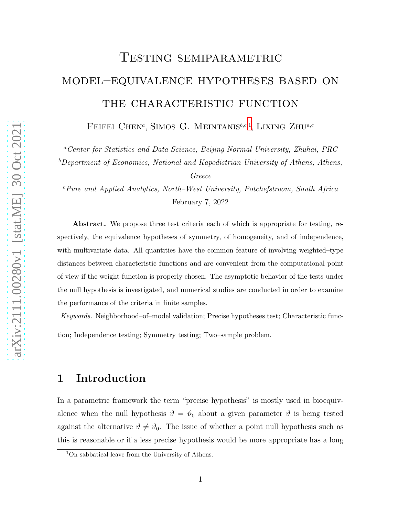# Testing semiparametric model–equivalence hypotheses based on THE CHARACTERISTIC FUNCTION

FEIFEI CHEN<sup>a</sup>, SIMOS G. MEINTANIS<sup>b,c,[1](#page-0-0)</sup>, LIXING ZHU<sup>a,c</sup>

<sup>a</sup>*Center for Statistics and Data Science, Beijing Normal University, Zhuhai, PRC*

<sup>b</sup>*Department of Economics, National and Kapodistrian University of Athens, Athens,*

*Greece*

<sup>c</sup>*Pure and Applied Analytics, North–West University, Potchefstroom, South Africa* February 7, 2022

Abstract. We propose three test criteria each of which is appropriate for testing, respectively, the equivalence hypotheses of symmetry, of homogeneity, and of independence, with multivariate data. All quantities have the common feature of involving weighted–type distances between characteristic functions and are convenient from the computational point of view if the weight function is properly chosen. The asymptotic behavior of the tests under the null hypothesis is investigated, and numerical studies are conducted in order to examine the performance of the criteria in finite samples.

*Keywords.* Neighborhood–of–model validation; Precise hypotheses test; Characteristic function; Independence testing; Symmetry testing; Two–sample problem.

## 1 Introduction

In a parametric framework the term "precise hypothesis" is mostly used in bioequivalence when the null hypothesis  $\vartheta = \vartheta_0$  about a given parameter  $\vartheta$  is being tested against the alternative  $\vartheta \neq \vartheta_0$ . The issue of whether a point null hypothesis such as this is reasonable or if a less precise hypothesis would be more appropriate has a long

<span id="page-0-0"></span><sup>1</sup>On sabbatical leave from the University of Athens.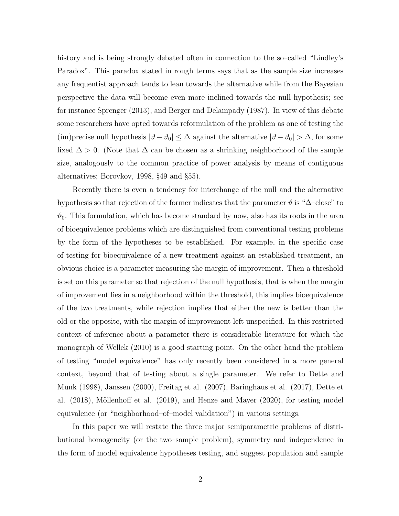history and is being strongly debated often in connection to the so–called "Lindley's Paradox". This paradox stated in rough terms says that as the sample size increases any frequentist approach tends to lean towards the alternative while from the Bayesian perspective the data will become even more inclined towards the null hypothesis; see for instance Sprenger (2013), and Berger and Delampady (1987). In view of this debate some researchers have opted towards reformulation of the problem as one of testing the (im)precise null hypothesis  $|\vartheta - \vartheta_0| \leq \Delta$  against the alternative  $|\vartheta - \vartheta_0| > \Delta$ , for some fixed  $\Delta > 0$ . (Note that  $\Delta$  can be chosen as a shrinking neighborhood of the sample size, analogously to the common practice of power analysis by means of contiguous alternatives; Borovkov, 1998, §49 and §55).

Recently there is even a tendency for interchange of the null and the alternative hypothesis so that rejection of the former indicates that the parameter  $\vartheta$  is " $\Delta$ –close" to  $\vartheta_0$ . This formulation, which has become standard by now, also has its roots in the area of bioequivalence problems which are distinguished from conventional testing problems by the form of the hypotheses to be established. For example, in the specific case of testing for bioequivalence of a new treatment against an established treatment, an obvious choice is a parameter measuring the margin of improvement. Then a threshold is set on this parameter so that rejection of the null hypothesis, that is when the margin of improvement lies in a neighborhood within the threshold, this implies bioequivalence of the two treatments, while rejection implies that either the new is better than the old or the opposite, with the margin of improvement left unspecified. In this restricted context of inference about a parameter there is considerable literature for which the monograph of Wellek (2010) is a good starting point. On the other hand the problem of testing "model equivalence" has only recently been considered in a more general context, beyond that of testing about a single parameter. We refer to Dette and Munk (1998), Janssen (2000), Freitag et al. (2007), Baringhaus et al. (2017), Dette et al.  $(2018)$ , Möllenhoff et al.  $(2019)$ , and Henze and Mayer  $(2020)$ , for testing model equivalence (or "neighborhood–of–model validation") in various settings.

In this paper we will restate the three major semiparametric problems of distributional homogeneity (or the two–sample problem), symmetry and independence in the form of model equivalence hypotheses testing, and suggest population and sample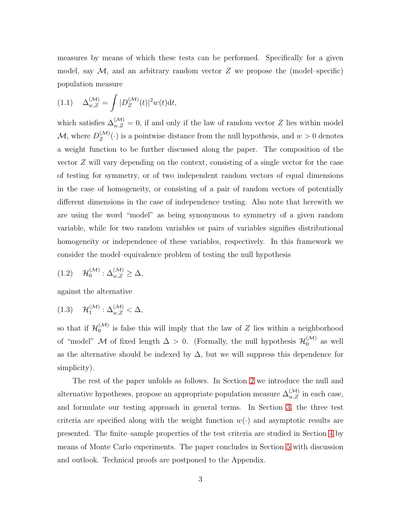measures by means of which these tests can be performed. Specifically for a given model, say  $\mathcal{M}$ , and an arbitrary random vector Z we propose the (model–specific) population measure

<span id="page-2-2"></span>
$$
(1.1)\quad \Delta_{w,Z}^{(\mathcal{M})} = \int |D_Z^{(\mathcal{M})}(t)|^2 w(t) \mathrm{d}t,
$$

which satisfies  $\Delta_{w,Z}^{(\mathcal{M})}=0$ , if and only if the law of random vector Z lies within model  $\mathcal{M}$ , where  $D_Z^{(\mathcal{M})}$  $Z(Z^{(Vt)}(\cdot))$  is a pointwise distance from the null hypothesis, and  $w > 0$  denotes a weight function to be further discussed along the paper. The composition of the vector Z will vary depending on the context, consisting of a single vector for the case of testing for symmetry, or of two independent random vectors of equal dimensions in the case of homogeneity, or consisting of a pair of random vectors of potentially different dimensions in the case of independence testing. Also note that herewith we are using the word "model" as being synonymous to symmetry of a given random variable, while for two random variables or pairs of variables signifies distributional homogeneity or independence of these variables, respectively. In this framework we consider the model–equivalence problem of testing the null hypothesis

<span id="page-2-0"></span>
$$
(1.2) \quad \mathcal{H}_0^{(\mathcal{M})} : \Delta_{w,Z}^{(\mathcal{M})} \geq \Delta,
$$

against the alternative

<span id="page-2-1"></span>
$$
(1.3) \quad \mathcal{H}_1^{(\mathcal{M})} : \Delta_{w,Z}^{(\mathcal{M})} < \Delta,
$$

so that if  $\mathcal{H}_0^{(\mathcal{M})}$  $\binom{[V]}{0}$  is false this will imply that the law of Z lies within a neighborhood of "model" M of fixed length  $\Delta > 0$ . (Formally, the null hypothesis  $\mathcal{H}_0^{(\mathcal{M})}$  $\int_0^{(\mathcal{M})}$  as well as the alternative should be indexed by  $\Delta$ , but we will suppress this dependence for simplicity).

The rest of the paper unfolds as follows. In Section [2](#page-3-0) we introduce the null and alternative hypotheses, propose an appropriate population measure  $\Delta_{w,Z}^{(\mathcal{M})}$  in each case, and formulate our testing approach in general terms. In Section [3,](#page-8-0) the three test criteria are specified along with the weight function  $w(\cdot)$  and asymptotic results are presented. The finite–sample properties of the test criteria are studied in Section [4](#page-13-0) by means of Monte Carlo experiments. The paper concludes in Section [5](#page-18-0) with discussion and outlook. Technical proofs are postponed to the Appendix.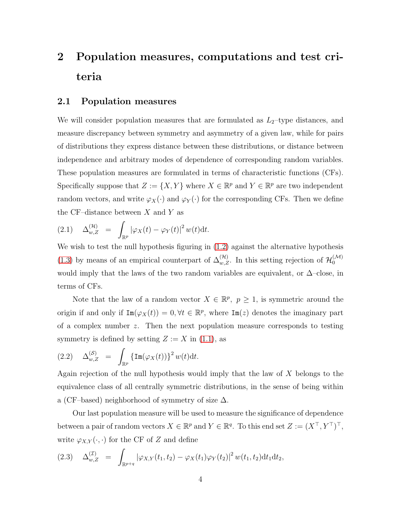## <span id="page-3-0"></span>2 Population measures, computations and test criteria

#### 2.1 Population measures

We will consider population measures that are formulated as  $L_2$ -type distances, and measure discrepancy between symmetry and asymmetry of a given law, while for pairs of distributions they express distance between these distributions, or distance between independence and arbitrary modes of dependence of corresponding random variables. These population measures are formulated in terms of characteristic functions (CFs). Specifically suppose that  $Z := \{X, Y\}$  where  $X \in \mathbb{R}^p$  and  $Y \in \mathbb{R}^p$  are two independent random vectors, and write  $\varphi_X(\cdot)$  and  $\varphi_Y(\cdot)$  for the corresponding CFs. Then we define the CF–distance between  $X$  and  $Y$  as

<span id="page-3-1"></span>
$$
(2.1) \quad \Delta_{w,Z}^{(\mathcal{H})} = \int_{\mathbb{R}^p} |\varphi_X(t) - \varphi_Y(t)|^2 w(t) \mathrm{d}t.
$$

We wish to test the null hypothesis figuring in  $(1.2)$  against the alternative hypothesis [\(1.3\)](#page-2-1) by means of an empirical counterpart of  $\Delta_{w,Z}^{(\mathcal{H})}$ . In this setting rejection of  $\mathcal{H}_0^{(\mathcal{M})}$ 0 would imply that the laws of the two random variables are equivalent, or  $\Delta$ –close, in terms of CFs.

Note that the law of a random vector  $X \in \mathbb{R}^p$ ,  $p \geq 1$ , is symmetric around the origin if and only if  $\text{Im}(\varphi_X(t)) = 0, \forall t \in \mathbb{R}^p$ , where  $\text{Im}(z)$  denotes the imaginary part of a complex number  $z$ . Then the next population measure corresponds to testing symmetry is defined by setting  $Z := X$  in [\(1.1\)](#page-2-2), as

<span id="page-3-3"></span>
$$
(2.2) \quad \Delta_{w,Z}^{(\mathcal{S})} \quad = \quad \int_{\mathbb{R}^p} \left\{ \operatorname{Im}(\varphi_X(t)) \right\}^2 w(t) \mathrm{d}t.
$$

Again rejection of the null hypothesis would imply that the law of X belongs to the equivalence class of all centrally symmetric distributions, in the sense of being within a (CF–based) neighborhood of symmetry of size  $\Delta$ .

Our last population measure will be used to measure the significance of dependence between a pair of random vectors  $X \in \mathbb{R}^p$  and  $Y \in \mathbb{R}^q$ . To this end set  $Z := (X^\top, Y^\top)^\top$ , write  $\varphi_{X,Y}(\cdot,\cdot)$  for the CF of Z and define

<span id="page-3-2"></span>
$$
(2.3) \quad \Delta_{w,Z}^{(\mathcal{I})} = \int_{\mathbb{R}^{p+q}} |\varphi_{X,Y}(t_1,t_2) - \varphi_X(t_1)\varphi_Y(t_2)|^2 w(t_1,t_2) dt_1 dt_2,
$$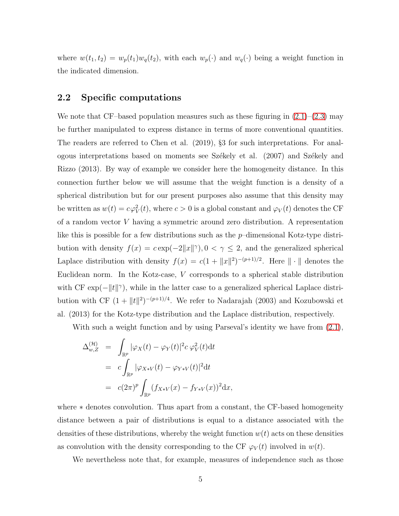where  $w(t_1, t_2) = w_p(t_1)w_q(t_2)$ , with each  $w_p(\cdot)$  and  $w_q(\cdot)$  being a weight function in the indicated dimension.

#### 2.2 Specific computations

We note that CF–based population measures such as these figuring in  $(2.1)$ – $(2.3)$  may be further manipulated to express distance in terms of more conventional quantities. The readers are referred to Chen et al. (2019), §3 for such interpretations. For analogous interpretations based on moments see Székely et al. (2007) and Székely and Rizzo (2013). By way of example we consider here the homogeneity distance. In this connection further below we will assume that the weight function is a density of a spherical distribution but for our present purposes also assume that this density may be written as  $w(t) = c\varphi_V^2(t)$ , where  $c > 0$  is a global constant and  $\varphi_V(t)$  denotes the CF of a random vector V having a symmetric around zero distribution. A representation like this is possible for a few distributions such as the p–dimensional Kotz-type distribution with density  $f(x) = c \exp(-2||x||^{\gamma})$ ,  $0 < \gamma \le 2$ , and the generalized spherical Laplace distribution with density  $f(x) = c(1 + ||x||^2)^{-(p+1)/2}$ . Here  $|| \cdot ||$  denotes the Euclidean norm. In the Kotz-case, V corresponds to a spherical stable distribution with CF  $\exp(-\Vert t \Vert^{\gamma})$ , while in the latter case to a generalized spherical Laplace distribution with CF  $(1 + ||t||^2)^{-(p+1)/4}$ . We refer to Nadarajah (2003) and Kozubowski et al. (2013) for the Kotz-type distribution and the Laplace distribution, respectively.

With such a weight function and by using Parseval's identity we have from  $(2.1)$ ,

$$
\Delta_{w,Z}^{(\mathcal{H})} = \int_{\mathbb{R}^p} |\varphi_X(t) - \varphi_Y(t)|^2 c \varphi_V^2(t) dt
$$
  
\n
$$
= c \int_{\mathbb{R}^p} |\varphi_{X*V}(t) - \varphi_{Y*V}(t)|^2 dt
$$
  
\n
$$
= c (2\pi)^p \int_{\mathbb{R}^p} (f_{X*V}(x) - f_{Y*V}(x))^2 dx,
$$

where ∗ denotes convolution. Thus apart from a constant, the CF-based homogeneity distance between a pair of distributions is equal to a distance associated with the densities of these distributions, whereby the weight function  $w(t)$  acts on these densities as convolution with the density corresponding to the CF  $\varphi_V(t)$  involved in  $w(t)$ .

We nevertheless note that, for example, measures of independence such as those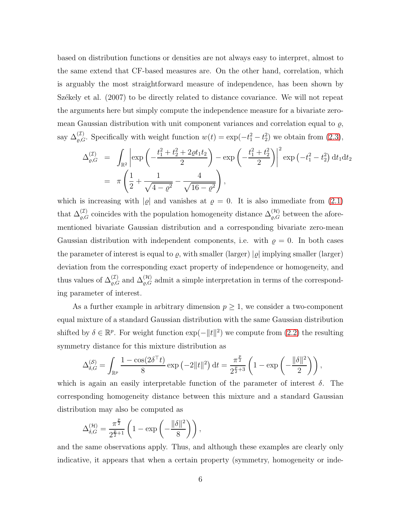based on distribution functions or densities are not always easy to interpret, almost to the same extend that CF-based measures are. On the other hand, correlation, which is arguably the most straightforward measure of independence, has been shown by Székely et al. (2007) to be directly related to distance covariance. We will not repeat the arguments here but simply compute the independence measure for a bivariate zeromean Gaussian distribution with unit component variances and correlation equal to  $\varrho$ , say  $\Delta_{\varrho,G}^{(\mathcal{I})}$ . Specifically with weight function  $w(t) = \exp(-t_1^2 - t_2^2)$  we obtain from  $(2.3)$ ,

$$
\Delta_{\varrho,G}^{(\mathcal{I})} = \int_{\mathbb{R}^2} \left| \exp\left(-\frac{t_1^2 + t_2^2 + 2\varrho t_1 t_2}{2}\right) - \exp\left(-\frac{t_1^2 + t_2^2}{2}\right) \right|^2 \exp\left(-t_1^2 - t_2^2\right) dt_1 dt_2
$$
  
=  $\pi \left(\frac{1}{2} + \frac{1}{\sqrt{4 - \varrho^2}} - \frac{4}{\sqrt{16 - \varrho^2}}\right),$ 

which is increasing with  $|\varrho|$  and vanishes at  $\varrho = 0$ . It is also immediate from [\(2.1\)](#page-3-1) that  $\Delta_{\varrho,G}^{(\mathcal{I})}$  coincides with the population homogeneity distance  $\Delta_{\varrho,G}^{(\mathcal{H})}$  between the aforementioned bivariate Gaussian distribution and a corresponding bivariate zero-mean Gaussian distribution with independent components, i.e. with  $\rho = 0$ . In both cases the parameter of interest is equal to  $\varrho$ , with smaller (larger)  $|\varrho|$  implying smaller (larger) deviation from the corresponding exact property of independence or homogeneity, and thus values of  $\Delta_{\varrho,G}^{(\mathcal{I})}$  and  $\Delta_{\varrho,G}^{(\mathcal{H})}$  admit a simple interpretation in terms of the corresponding parameter of interest.

As a further example in arbitrary dimension  $p \geq 1$ , we consider a two-component equal mixture of a standard Gaussian distribution with the same Gaussian distribution shifted by  $\delta \in \mathbb{R}^p$ . For weight function  $\exp(-||t||^2)$  we compute from [\(2.2\)](#page-3-3) the resulting symmetry distance for this mixture distribution as

$$
\Delta_{\delta,G}^{(\mathcal{S})} = \int_{\mathbb{R}^p} \frac{1 - \cos(2\delta^\top t)}{8} \exp\left(-2\|t\|^2\right) \mathrm{d}t = \frac{\pi^{\frac{p}{2}}}{2^{\frac{p}{2}+3}} \left(1 - \exp\left(-\frac{\|\delta\|^2}{2}\right)\right),
$$

which is again an easily interpretable function of the parameter of interest  $\delta$ . The corresponding homogeneity distance between this mixture and a standard Gaussian distribution may also be computed as

$$
\Delta_{\delta,G}^{(\mathcal{H})} = \frac{\pi^{\frac{p}{2}}}{2^{\frac{p}{2}+1}} \left( 1 - \exp\left(-\frac{\|\delta\|^2}{8}\right) \right),
$$

and the same observations apply. Thus, and although these examples are clearly only indicative, it appears that when a certain property (symmetry, homogeneity or inde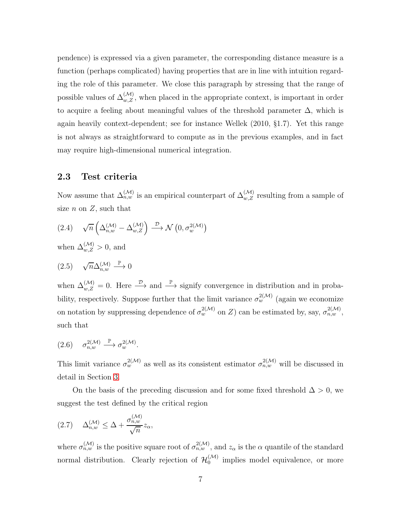pendence) is expressed via a given parameter, the corresponding distance measure is a function (perhaps complicated) having properties that are in line with intuition regarding the role of this parameter. We close this paragraph by stressing that the range of possible values of  $\Delta_{w,Z}^{(\mathcal{M})}$ , when placed in the appropriate context, is important in order to acquire a feeling about meaningful values of the threshold parameter  $\Delta$ , which is again heavily context-dependent; see for instance Wellek (2010, §1.7). Yet this range is not always as straightforward to compute as in the previous examples, and in fact may require high-dimensional numerical integration.

#### 2.3 Test criteria

Now assume that  $\Delta_{n,w}^{(\mathcal{M})}$  is an empirical counterpart of  $\Delta_{w,Z}^{(\mathcal{M})}$  resulting from a sample of size  $n$  on  $Z$ , such that

<span id="page-6-1"></span>
$$
(2.4) \quad \sqrt{n}\left(\Delta_{n,w}^{(\mathcal{M})}-\Delta_{w,Z}^{(\mathcal{M})}\right) \stackrel{\mathcal{D}}{\longrightarrow} \mathcal{N}\left(0, \sigma_w^{2(\mathcal{M})}\right)
$$

when  $\Delta_{w,Z}^{(\mathcal{M})}>0$ , and

<span id="page-6-3"></span>
$$
(2.5) \quad \sqrt{n} \Delta_{n,w}^{(\mathcal{M})} \stackrel{\mathbb{P}}{\longrightarrow} 0
$$

when  $\Delta_{w,Z}^{(\mathcal{M})}=0$ . Here  $\stackrel{\mathcal{D}}{\longrightarrow}$  and  $\stackrel{\mathbb{P}}{\longrightarrow}$  signify convergence in distribution and in probability, respectively. Suppose further that the limit variance  $\sigma_w^{2(\mathcal{M})}$  (again we economize on notation by suppressing dependence of  $\sigma_w^{2(\mathcal{M})}$  on Z) can be estimated by, say,  $\sigma_{n,w}^{2(\mathcal{M})}$ , such that

<span id="page-6-2"></span>
$$
(2.6) \quad \sigma_{n,w}^{2(\mathcal{M})} \stackrel{\mathbb{P}}{\longrightarrow} \sigma_w^{2(\mathcal{M})}.
$$

This limit variance  $\sigma_w^{2(\mathcal{M})}$  as well as its consistent estimator  $\sigma_{n,w}^{2(\mathcal{M})}$  will be discussed in detail in Section [3.](#page-8-0)

On the basis of the preceding discussion and for some fixed threshold  $\Delta > 0$ , we suggest the test defined by the critical region

<span id="page-6-0"></span>
$$
(2.7) \quad \Delta_{n,w}^{(\mathcal{M})} \leq \Delta + \frac{\sigma_{n,w}^{(\mathcal{M})}}{\sqrt{n}} z_{\alpha},
$$

where  $\sigma_{n,w}^{(\mathcal{M})}$  is the positive square root of  $\sigma_{n,w}^{2(\mathcal{M})}$ , and  $z_\alpha$  is the  $\alpha$  quantile of the standard normal distribution. Clearly rejection of  $\mathcal{H}_0^{(\mathcal{M})}$  $\int_0^{\sqrt{V(t)}}$  implies model equivalence, or more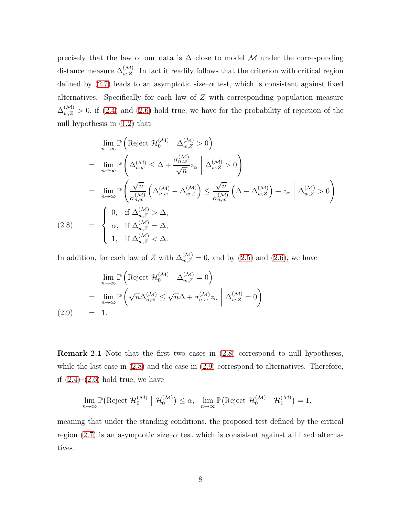precisely that the law of our data is  $\Delta$ –close to model M under the corresponding distance measure  $\Delta_{w,Z}^{(\mathcal{M})}$ . In fact it readily follows that the criterion with critical region defined by  $(2.7)$  leads to an asymptotic size– $\alpha$  test, which is consistent against fixed alternatives. Specifically for each law of  $Z$  with corresponding population measure  $\Delta_{w,Z}^{(\mathcal{M})} > 0$ , if [\(2.4\)](#page-6-1) and [\(2.6\)](#page-6-2) hold true, we have for the probability of rejection of the null hypothesis in [\(1.2\)](#page-2-0) that

<span id="page-7-0"></span>
$$
\lim_{n \to \infty} \mathbb{P}\left(\text{Reject } \mathcal{H}_0^{(\mathcal{M})} \mid \Delta_{w,Z}^{(\mathcal{M})} > 0\right)
$$
\n
$$
= \lim_{n \to \infty} \mathbb{P}\left(\Delta_{n,w}^{(\mathcal{M})} \leq \Delta + \frac{\sigma_{n,w}^{(\mathcal{M})}}{\sqrt{n}} z_{\alpha} \mid \Delta_{w,Z}^{(\mathcal{M})} > 0\right)
$$
\n
$$
= \lim_{n \to \infty} \mathbb{P}\left(\frac{\sqrt{n}}{\sigma_{n,w}^{(\mathcal{M})}} \left(\Delta_{n,w}^{(\mathcal{M})} - \Delta_{w,Z}^{(\mathcal{M})}\right) \leq \frac{\sqrt{n}}{\sigma_{n,w}^{(\mathcal{M})}} \left(\Delta - \Delta_{w,Z}^{(\mathcal{M})}\right) + z_{\alpha} \mid \Delta_{w,Z}^{(\mathcal{M})} > 0\right)
$$
\n
$$
(2.8) = \begin{cases} 0, & \text{if } \Delta_{w,Z}^{(\mathcal{M})} > \Delta, \\ \alpha, & \text{if } \Delta_{w,Z}^{(\mathcal{M})} = \Delta, \\ 1, & \text{if } \Delta_{w,Z}^{(\mathcal{M})} < \Delta. \end{cases}
$$

In addition, for each law of Z with  $\Delta_{w,Z}^{(\mathcal{M})}=0$ , and by [\(2.5\)](#page-6-3) and [\(2.6\)](#page-6-2), we have

<span id="page-7-1"></span>
$$
\lim_{n \to \infty} \mathbb{P}\left(\text{Reject } \mathcal{H}_0^{(\mathcal{M})} \mid \Delta_{w,Z}^{(\mathcal{M})} = 0\right)
$$
\n
$$
= \lim_{n \to \infty} \mathbb{P}\left(\sqrt{n}\Delta_{n,w}^{(\mathcal{M})} \le \sqrt{n}\Delta + \sigma_{n,w}^{(\mathcal{M})} z_\alpha \mid \Delta_{w,Z}^{(\mathcal{M})} = 0\right)
$$
\n
$$
(2.9) = 1.
$$

Remark 2.1 Note that the first two cases in [\(2.8\)](#page-7-0) correspond to null hypotheses, while the last case in  $(2.8)$  and the case in  $(2.9)$  correspond to alternatives. Therefore, if  $(2.4)$ – $(2.6)$  hold true, we have

$$
\lim_{n\to\infty} \mathbb{P}\big(\text{Reject } \mathcal{H}_0^{(\mathcal{M})} \mid \mathcal{H}_0^{(\mathcal{M})}\big) \leq \alpha, \quad \lim_{n\to\infty} \mathbb{P}\big(\text{Reject } \mathcal{H}_0^{(\mathcal{M})} \mid \mathcal{H}_1^{(\mathcal{M})}\big) = 1,
$$

meaning that under the standing conditions, the proposed test defined by the critical region [\(2.7\)](#page-6-0) is an asymptotic size– $\alpha$  test which is consistent against all fixed alternatives.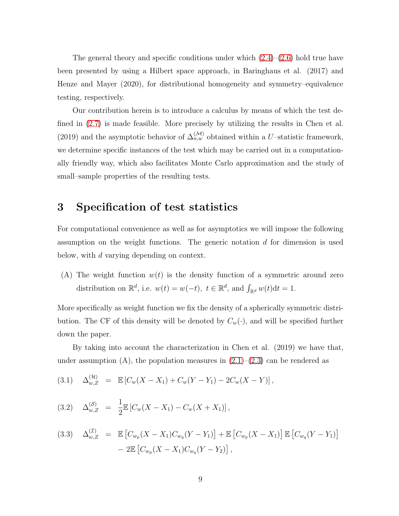The general theory and specific conditions under which  $(2.4)$ – $(2.6)$  hold true have been presented by using a Hilbert space approach, in Baringhaus et al. (2017) and Henze and Mayer (2020), for distributional homogeneity and symmetry–equivalence testing, respectively.

Our contribution herein is to introduce a calculus by means of which the test defined in [\(2.7\)](#page-6-0) is made feasible. More precisely by utilizing the results in Chen et al. (2019) and the asymptotic behavior of  $\Delta_{n,w}^{(\mathcal{M})}$  obtained within a U–statistic framework, we determine specific instances of the test which may be carried out in a computationally friendly way, which also facilitates Monte Carlo approximation and the study of small–sample properties of the resulting tests.

## <span id="page-8-0"></span>3 Specification of test statistics

For computational convenience as well as for asymptotics we will impose the following assumption on the weight functions. The generic notation  $d$  for dimension is used below, with d varying depending on context.

(A) The weight function  $w(t)$  is the density function of a symmetric around zero distribution on  $\mathbb{R}^d$ , i.e.  $w(t) = w(-t)$ ,  $t \in \mathbb{R}^d$ , and  $\int_{\mathbb{R}^d} w(t) dt = 1$ .

More specifically as weight function we fix the density of a spherically symmetric distribution. The CF of this density will be denoted by  $C_w(\cdot)$ , and will be specified further down the paper.

By taking into account the characterization in Chen et al. (2019) we have that, under assumption  $(A)$ , the population measures in  $(2.1)$ – $(2.3)$  can be rendered as

<span id="page-8-1"></span>
$$
(3.1) \quad \Delta_{w,Z}^{(\mathcal{H})} = \mathbb{E}\left[C_w(X - X_1) + C_w(Y - Y_1) - 2C_w(X - Y)\right],
$$

<span id="page-8-2"></span>
$$
(3.2) \quad \Delta_{w,Z}^{(\mathcal{S})} = \frac{1}{2} \mathbb{E} \left[ C_w (X - X_1) - C_w (X + X_1) \right],
$$

<span id="page-8-3"></span>
$$
(3.3) \quad \Delta_{w,Z}^{(\mathcal{I})} = \mathbb{E}\left[C_{w_p}(X - X_1)C_{w_q}(Y - Y_1)\right] + \mathbb{E}\left[C_{w_p}(X - X_1)\right]\mathbb{E}\left[C_{w_q}(Y - Y_1)\right] - 2\mathbb{E}\left[C_{w_p}(X - X_1)C_{w_q}(Y - Y_2)\right],
$$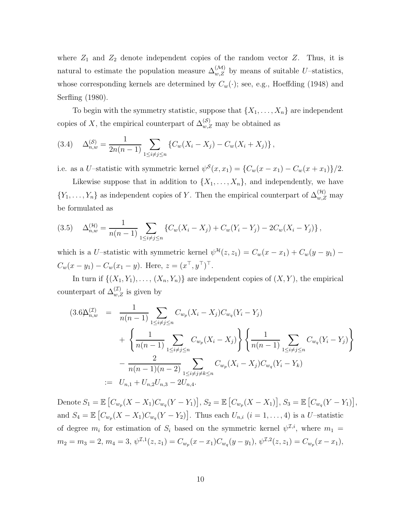where  $Z_1$  and  $Z_2$  denote independent copies of the random vector  $Z$ . Thus, it is natural to estimate the population measure  $\Delta_{w,Z}^{(\mathcal{M})}$  by means of suitable U–statistics, whose corresponding kernels are determined by  $C_w(\cdot)$ ; see, e.g., Hoeffding (1948) and Serfling (1980).

To begin with the symmetry statistic, suppose that  $\{X_1, \ldots, X_n\}$  are independent copies of X, the empirical counterpart of  $\Delta_{w,Z}^{(\mathcal{S})}$  may be obtained as

<span id="page-9-0"></span>
$$
(3.4) \quad \Delta_{n,w}^{(\mathcal{S})} = \frac{1}{2n(n-1)} \sum_{1 \le i \ne j \le n} \left\{ C_w(X_i - X_j) - C_w(X_i + X_j) \right\},
$$

i.e. as a U–statistic with symmetric kernel  $\psi^S(x, x_1) = \{C_w(x - x_1) - C_w(x + x_1)\}/2$ .

Likewise suppose that in addition to  $\{X_1, \ldots, X_n\}$ , and independently, we have  $\{Y_1, \ldots, Y_n\}$  as independent copies of Y. Then the empirical counterpart of  $\Delta_{w,Z}^{(\mathcal{H})}$  may be formulated as

<span id="page-9-2"></span>
$$
(3.5) \quad \Delta_{n,w}^{(\mathcal{H})} = \frac{1}{n(n-1)} \sum_{1 \le i \ne j \le n} \left\{ C_w(X_i - X_j) + C_w(Y_i - Y_j) - 2C_w(X_i - Y_j) \right\},
$$

which is a U–statistic with symmetric kernel  $\psi^{\mathcal{H}}(z, z_1) = C_w(x - x_1) + C_w(y - y_1)$  –  $C_w(x - y_1) - C_w(x_1 - y)$ . Here,  $z = (x^\top, y^\top)^\top$ .

In turn if  $\{(X_1, Y_1), \ldots, (X_n, Y_n)\}\$  are independent copies of  $(X, Y)$ , the empirical counterpart of  $\Delta_{w,Z}^{(\mathcal{I})}$  is given by

<span id="page-9-1"></span>
$$
(3.6\Delta_{n,w}^{(1)}) = \frac{1}{n(n-1)} \sum_{1 \le i \ne j \le n} C_{w_p}(X_i - X_j) C_{w_q}(Y_i - Y_j)
$$
  
+ 
$$
\left\{ \frac{1}{n(n-1)} \sum_{1 \le i \ne j \le n} C_{w_p}(X_i - X_j) \right\} \left\{ \frac{1}{n(n-1)} \sum_{1 \le i \ne j \le n} C_{w_q}(Y_i - Y_j) \right\}
$$
  
- 
$$
\frac{2}{n(n-1)(n-2)} \sum_{1 \le i \ne j \ne k \le n} C_{w_p}(X_i - X_j) C_{w_q}(Y_i - Y_k)
$$
  
:=  $U_{n,1} + U_{n,2}U_{n,3} - 2U_{n,4}.$ 

Denote  $S_1 = \mathbb{E}\left[C_{w_p}(X - X_1)C_{w_q}(Y - Y_1)\right], S_2 = \mathbb{E}\left[C_{w_p}(X - X_1)\right], S_3 = \mathbb{E}\left[C_{w_q}(Y - Y_1)\right],$ and  $S_4 = \mathbb{E}\left[C_{w_p}(X - X_1)C_{w_q}(Y - Y_2)\right]$ . Thus each  $U_{n,i}$   $(i = 1, \ldots, 4)$  is a U-statistic of degree  $m_i$  for estimation of  $S_i$  based on the symmetric kernel  $\psi^{\mathcal{I},i}$ , where  $m_1 =$  $m_2 = m_3 = 2, m_4 = 3, \psi^{\mathcal{I},1}(z, z_1) = C_{w_p}(x - x_1)C_{w_q}(y - y_1), \psi^{\mathcal{I},2}(z, z_1) = C_{w_p}(x - x_1),$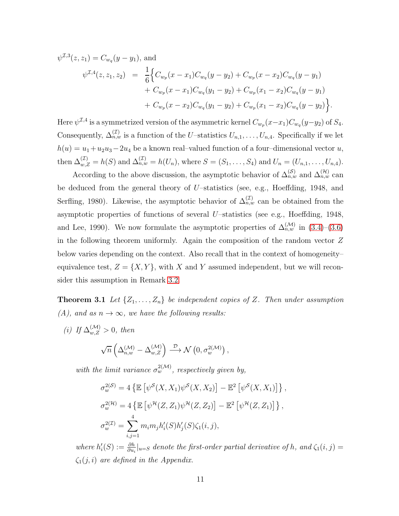$$
\psi^{\mathcal{I},3}(z, z_1) = C_{w_q}(y - y_1), \text{ and}
$$
  
\n
$$
\psi^{\mathcal{I},4}(z, z_1, z_2) = \frac{1}{6} \Big\{ C_{w_p}(x - x_1) C_{w_q}(y - y_2) + C_{w_p}(x - x_2) C_{w_q}(y - y_1) + C_{w_p}(x - x_1) C_{w_q}(y_1 - y_2) + C_{w_p}(x_1 - x_2) C_{w_q}(y - y_1) + C_{w_p}(x - x_2) C_{w_q}(y_1 - y_2) + C_{w_p}(x_1 - x_2) C_{w_q}(y - y_2) \Big\}.
$$

Here  $\psi^{Z,4}$  is a symmetrized version of the asymmetric kernel  $C_{w_p}(x-x_1)C_{w_q}(y-y_2)$  of  $S_4$ . Consequently,  $\Delta_{n,w}^{(\mathcal{I})}$  is a function of the U–statistics  $U_{n,1},\ldots,U_{n,4}$ . Specifically if we let  $h(u) = u_1 + u_2u_3 - 2u_4$  be a known real–valued function of a four–dimensional vector u, then  $\Delta_{w,Z}^{(\mathcal{I})} = h(S)$  and  $\Delta_{n,w}^{(\mathcal{I})} = h(U_n)$ , where  $S = (S_1, \ldots, S_4)$  and  $U_n = (U_{n,1}, \ldots, U_{n,4})$ .

According to the above discussion, the asymptotic behavior of  $\Delta_{n,w}^{(S)}$  and  $\Delta_{n,w}^{(\mathcal{H})}$  can be deduced from the general theory of U–statistics (see, e.g., Hoeffding, 1948, and Serfling, 1980). Likewise, the asymptotic behavior of  $\Delta_{n,w}^{(\mathcal{I})}$  can be obtained from the asymptotic properties of functions of several U–statistics (see e.g., Hoeffding, 1948, and Lee, 1990). We now formulate the asymptotic properties of  $\Delta_{n,w}^{(\mathcal{M})}$  in  $(3.4)-(3.6)$  $(3.4)-(3.6)$ in the following theorem uniformly. Again the composition of the random vector Z below varies depending on the context. Also recall that in the context of homogeneity– equivalence test,  $Z = \{X, Y\}$ , with X and Y assumed independent, but we will reconsider this assumption in Remark [3.2.](#page-12-0)

**Theorem 3.1** Let  $\{Z_1, \ldots, Z_n\}$  be independent copies of Z. Then under assumption *(A), and as*  $n \to \infty$ *, we have the following results:* 

(*i*) If  $\Delta_{w,Z}^{(\mathcal{M})} > 0$ , then

<span id="page-10-0"></span>
$$
\sqrt{n}\left(\Delta_{n,w}^{(\mathcal{M})}-\Delta_{w,Z}^{(\mathcal{M})}\right)\stackrel{\mathcal{D}}{\longrightarrow}\mathcal{N}\left(0,\sigma_w^{2(\mathcal{M})}\right),
$$

with the limit variance  $\sigma_w^{2(\mathcal{M})}$ , respectively given by,

$$
\sigma_w^{2(S)} = 4 \left\{ \mathbb{E} \left[ \psi^S(X, X_1) \psi^S(X, X_2) \right] - \mathbb{E}^2 \left[ \psi^S(X, X_1) \right] \right\},
$$
  
\n
$$
\sigma_w^{2(H)} = 4 \left\{ \mathbb{E} \left[ \psi^H(Z, Z_1) \psi^H(Z, Z_2) \right] - \mathbb{E}^2 \left[ \psi^H(Z, Z_1) \right] \right\},
$$
  
\n
$$
\sigma_w^{2(L)} = \sum_{i,j=1}^4 m_i m_j h_i'(S) h_j'(S) \zeta_1(i, j),
$$

where  $h'_i(S) := \frac{\partial h}{\partial u_i}|_{u=S}$  denote the first-order partial derivative of h, and  $\zeta_1(i,j) =$  $\zeta_1(j,i)$  *are defined in the Appendix.*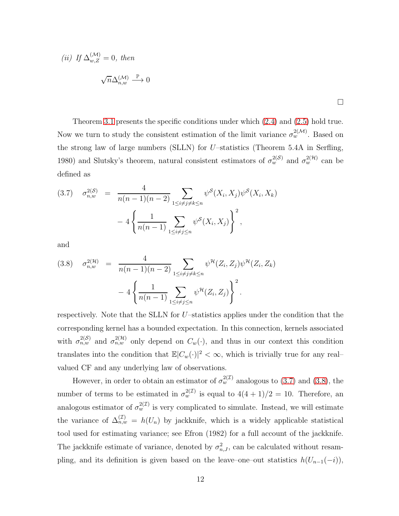(ii) If 
$$
\Delta_{w,Z}^{(\mathcal{M})} = 0
$$
, then  

$$
\sqrt{n} \Delta_{n,w}^{(\mathcal{M})} \stackrel{\mathbb{P}}{\longrightarrow} 0
$$

Theorem [3.1](#page-10-0) presents the specific conditions under which [\(2.4\)](#page-6-1) and [\(2.5\)](#page-6-3) hold true. Now we turn to study the consistent estimation of the limit variance  $\sigma_w^{2(M)}$ . Based on the strong law of large numbers (SLLN) for  $U$ -statistics (Theorem 5.4A in Serfling, 1980) and Slutsky's theorem, natural consistent estimators of  $\sigma_w^{2(S)}$  and  $\sigma_w^{2(H)}$  can be defined as

<span id="page-11-0"></span>
$$
(3.7) \quad \sigma_{n,w}^{2(S)} = \frac{4}{n(n-1)(n-2)} \sum_{1 \le i \ne j \ne k \le n} \psi^{\mathcal{S}}(X_i, X_j) \psi^{\mathcal{S}}(X_i, X_k)
$$

$$
-4 \left\{ \frac{1}{n(n-1)} \sum_{1 \le i \ne j \le n} \psi^{\mathcal{S}}(X_i, X_j) \right\}^2,
$$

and

<span id="page-11-1"></span>
$$
(3.8) \quad \sigma_{n,w}^{2(\mathcal{H})} = \frac{4}{n(n-1)(n-2)} \sum_{1 \le i \ne j \ne k \le n} \psi^{\mathcal{H}}(Z_i, Z_j) \psi^{\mathcal{H}}(Z_i, Z_k) - 4 \left\{ \frac{1}{n(n-1)} \sum_{1 \le i \ne j \le n} \psi^{\mathcal{H}}(Z_i, Z_j) \right\}^2.
$$

respectively. Note that the SLLN for U–statistics applies under the condition that the corresponding kernel has a bounded expectation. In this connection, kernels associated with  $\sigma_{n,w}^{2(S)}$  and  $\sigma_{n,w}^{2(H)}$  only depend on  $C_w(\cdot)$ , and thus in our context this condition translates into the condition that  $\mathbb{E}|C_w(\cdot)|^2 < \infty$ , which is trivially true for any realvalued CF and any underlying law of observations.

However, in order to obtain an estimator of  $\sigma_w^{2(1)}$  analogous to [\(3.7\)](#page-11-0) and [\(3.8\)](#page-11-1), the number of terms to be estimated in  $\sigma_w^{2(\mathcal{I})}$  is equal to  $4(4+1)/2 = 10$ . Therefore, an analogous estimator of  $\sigma_w^{2(\mathcal{I})}$  is very complicated to simulate. Instead, we will estimate the variance of  $\Delta_{n,w}^{(\mathcal{I})} = h(U_n)$  by jackknife, which is a widely applicable statistical tool used for estimating variance; see Efron (1982) for a full account of the jackknife. The jackknife estimate of variance, denoted by  $\sigma_{n,J}^2$ , can be calculated without resampling, and its definition is given based on the leave–one–out statistics  $h(U_{n-1}(-i))$ ,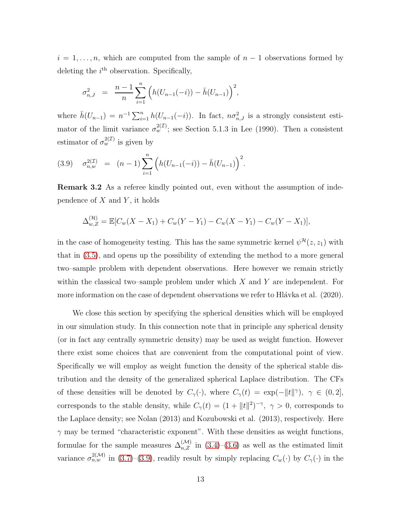$i = 1, \ldots, n$ , which are computed from the sample of  $n - 1$  observations formed by deleting the  $i<sup>th</sup>$  observation. Specifically,

$$
\sigma_{n,J}^2 = \frac{n-1}{n} \sum_{i=1}^n \left( h(U_{n-1}(-i)) - \bar{h}(U_{n-1}) \right)^2,
$$

where  $\bar{h}(U_{n-1}) = n^{-1} \sum_{i=1}^{n} h(U_{n-1}(-i))$ . In fact,  $n\sigma_{n,J}^2$  is a strongly consistent estimator of the limit variance  $\sigma_w^{2(\mathcal{I})}$ ; see Section 5.1.3 in Lee (1990). Then a consistent estimator of  $\sigma_w^{2(\mathcal{I})}$  is given by

<span id="page-12-1"></span>
$$
(3.9) \quad \sigma_{n,w}^{2(\mathcal{I})} = (n-1) \sum_{i=1}^{n} \left( h(U_{n-1}(-i)) - \bar{h}(U_{n-1}) \right)^2.
$$

<span id="page-12-0"></span>Remark 3.2 As a referee kindly pointed out, even without the assumption of independence of  $X$  and  $Y$ , it holds

$$
\Delta_{w,Z}^{(\mathcal{H})} = \mathbb{E}[C_w(X - X_1) + C_w(Y - Y_1) - C_w(X - Y_1) - C_w(Y - X_1)],
$$

in the case of homogeneity testing. This has the same symmetric kernel  $\psi^{\mathcal{H}}(z, z_1)$  with that in [\(3.5\)](#page-9-2), and opens up the possibility of extending the method to a more general two–sample problem with dependent observations. Here however we remain strictly within the classical two–sample problem under which  $X$  and  $Y$  are independent. For more information on the case of dependent observations we refer to Hlávka et al. (2020).

We close this section by specifying the spherical densities which will be employed in our simulation study. In this connection note that in principle any spherical density (or in fact any centrally symmetric density) may be used as weight function. However there exist some choices that are convenient from the computational point of view. Specifically we will employ as weight function the density of the spherical stable distribution and the density of the generalized spherical Laplace distribution. The CFs of these densities will be denoted by  $C_{\gamma}(\cdot)$ , where  $C_{\gamma}(t) = \exp(-||t||^{\gamma}), \gamma \in (0,2],$ corresponds to the stable density, while  $C_{\gamma}(t) = (1 + ||t||^2)^{-\gamma}$ ,  $\gamma > 0$ , corresponds to the Laplace density; see Nolan (2013) and Kozubowski et al. (2013), respectively. Here  $\gamma$  may be termed "characteristic exponent". With these densities as weight functions, formulae for the sample measures  $\Delta_{n,Z}^{(\mathcal{M})}$  in [\(3.4\)](#page-9-0)–[\(3.6\)](#page-9-1) as well as the estimated limit variance  $\sigma_{n,w}^{2(\mathcal{M})}$  in [\(3.7\)](#page-11-0)–[\(3.9\)](#page-12-1), readily result by simply replacing  $C_w(\cdot)$  by  $C_\gamma(\cdot)$  in the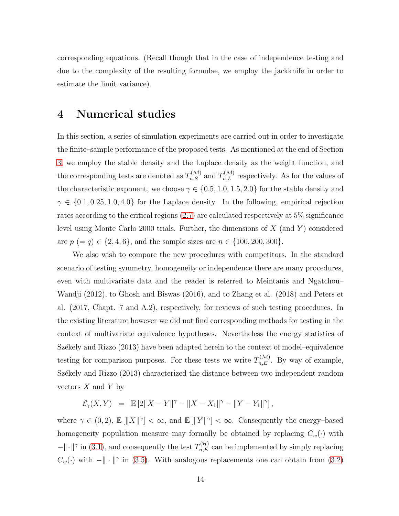corresponding equations. (Recall though that in the case of independence testing and due to the complexity of the resulting formulae, we employ the jackknife in order to estimate the limit variance).

### <span id="page-13-0"></span>4 Numerical studies

In this section, a series of simulation experiments are carried out in order to investigate the finite–sample performance of the proposed tests. As mentioned at the end of Section [3,](#page-8-0) we employ the stable density and the Laplace density as the weight function, and the corresponding tests are denoted as  $T_{n,S}^{(\mathcal{M})}$  and  $T_{n,L}^{(\mathcal{M})}$  respectively. As for the values of the characteristic exponent, we choose  $\gamma \in \{0.5, 1.0, 1.5, 2.0\}$  for the stable density and  $\gamma \in \{0.1, 0.25, 1.0, 4.0\}$  for the Laplace density. In the following, empirical rejection rates according to the critical regions [\(2.7\)](#page-6-0) are calculated respectively at 5% significance level using Monte Carlo 2000 trials. Further, the dimensions of  $X$  (and  $Y$ ) considered are  $p (= q) \in \{2, 4, 6\}$ , and the sample sizes are  $n \in \{100, 200, 300\}$ .

We also wish to compare the new procedures with competitors. In the standard scenario of testing symmetry, homogeneity or independence there are many procedures, even with multivariate data and the reader is referred to Meintanis and Ngatchou– Wandji (2012), to Ghosh and Biswas (2016), and to Zhang et al. (2018) and Peters et al. (2017, Chapt. 7 and A.2), respectively, for reviews of such testing procedures. In the existing literature however we did not find corresponding methods for testing in the context of multivariate equivalence hypotheses. Nevertheless the energy statistics of Székely and Rizzo (2013) have been adapted herein to the context of model–equivalence testing for comparison purposes. For these tests we write  $T_{n,E}^{(\mathcal{M})}$ . By way of example, Székely and Rizzo (2013) characterized the distance between two independent random vectors  $X$  and  $Y$  by

$$
\mathcal{E}_{\gamma}(X,Y) \;\; = \;\; \mathbb{E}\left[ 2\|X-Y\|^{\gamma} - \|X-X_1\|^{\gamma} - \|Y-Y_1\|^{\gamma} \right],
$$

where  $\gamma \in (0, 2)$ ,  $\mathbb{E}[\|X\|^{\gamma}] < \infty$ , and  $\mathbb{E}[\|Y\|^{\gamma}] < \infty$ . Consequently the energy-based homogeneity population measure may formally be obtained by replacing  $C_w(\cdot)$  with  $-\Vert \cdot \Vert^{\gamma}$  in [\(3.1\)](#page-8-1), and consequently the test  $T_{n,E}^{(\mathcal{H})}$  can be implemented by simply replacing  $C_w(\cdot)$  with  $-\Vert \cdot \Vert^{\gamma}$  in [\(3.5\)](#page-9-2). With analogous replacements one can obtain from [\(3.2\)](#page-8-2)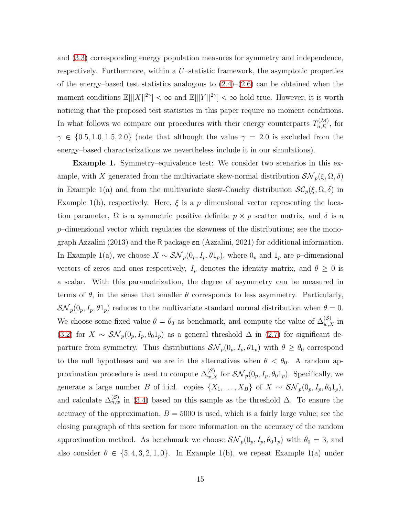and [\(3.3\)](#page-8-3) corresponding energy population measures for symmetry and independence, respectively. Furthermore, within a U–statistic framework, the asymptotic properties of the energy–based test statistics analogous to  $(2.4)$ – $(2.6)$  can be obtained when the moment conditions  $\mathbb{E}[\|X\|^{2\gamma}] < \infty$  and  $\mathbb{E}[\|Y\|^{2\gamma}] < \infty$  hold true. However, it is worth noticing that the proposed test statistics in this paper require no moment conditions. In what follows we compare our procedures with their energy counterparts  $T_{n,E}^{(\mathcal{M})}$ , for  $\gamma \in \{0.5, 1.0, 1.5, 2.0\}$  (note that although the value  $\gamma = 2.0$  is excluded from the energy–based characterizations we nevertheless include it in our simulations).

Example 1. Symmetry–equivalence test: We consider two scenarios in this example, with X generated from the multivariate skew-normal distribution  $\mathcal{SN}_p(\xi,\Omega,\delta)$ in Example 1(a) and from the multivariate skew-Cauchy distribution  $\mathcal{SC}_p(\xi, \Omega, \delta)$  in Example 1(b), respectively. Here,  $\xi$  is a p-dimensional vector representing the location parameter,  $\Omega$  is a symmetric positive definite  $p \times p$  scatter matrix, and  $\delta$  is a  $p$ –dimensional vector which regulates the skewness of the distributions; see the monograph Azzalini (2013) and the R package sn (Azzalini, 2021) for additional information. In Example 1(a), we choose  $X \sim \mathcal{SN}_p(0_p, I_p, \theta 1_p)$ , where  $0_p$  and  $1_p$  are p–dimensional vectors of zeros and ones respectively,  $I_p$  denotes the identity matrix, and  $\theta \geq 0$  is a scalar. With this parametrization, the degree of asymmetry can be measured in terms of  $\theta$ , in the sense that smaller  $\theta$  corresponds to less asymmetry. Particularly,  $\mathcal{SN}_p(0_p, I_p, \theta1_p)$  reduces to the multivariate standard normal distribution when  $\theta = 0$ . We choose some fixed value  $\theta = \theta_0$  as benchmark, and compute the value of  $\Delta_{w,X}^{(\mathcal{S})}$  in [\(3.2\)](#page-8-2) for  $X \sim \mathcal{SN}_p(0_p, I_p, \theta_0 1_p)$  as a general threshold  $\Delta$  in [\(2.7\)](#page-6-0) for significant departure from symmetry. Thus distributions  $\mathcal{SN}_p(0_p, I_p, \theta1_p)$  with  $\theta \geq \theta_0$  correspond to the null hypotheses and we are in the alternatives when  $\theta < \theta_0$ . A random approximation procedure is used to compute  $\Delta_{w,X}^{(S)}$  for  $\mathcal{SN}_p(0_p, I_p, \theta_0 1_p)$ . Specifically, we generate a large number B of i.i.d. copies  $\{X_1, \ldots, X_B\}$  of  $X \sim \mathcal{SN}_p(0_p, I_p, \theta_0 1_p)$ , and calculate  $\Delta_{n,w}^{(S)}$  in [\(3.4\)](#page-9-0) based on this sample as the threshold  $\Delta$ . To ensure the accuracy of the approximation,  $B = 5000$  is used, which is a fairly large value; see the closing paragraph of this section for more information on the accuracy of the random approximation method. As benchmark we choose  $\mathcal{SN}_p(0_p, I_p, \theta_0 1_p)$  with  $\theta_0 = 3$ , and also consider  $\theta \in \{5, 4, 3, 2, 1, 0\}$ . In Example 1(b), we repeat Example 1(a) under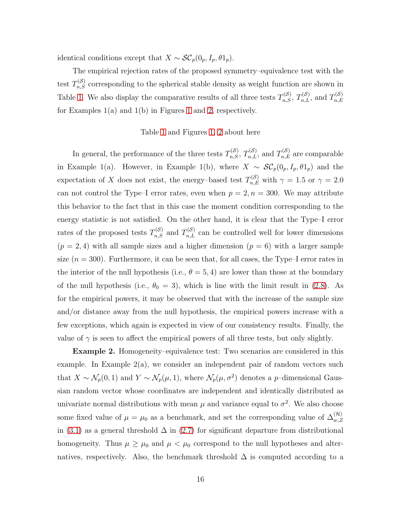identical conditions except that  $X \sim \mathcal{SC}_p(0_p, I_p, \theta 1_p)$ .

The empirical rejection rates of the proposed symmetry–equivalence test with the test  $T_{n,S}^{(S)}$  corresponding to the spherical stable density as weight function are shown in Table [1.](#page-24-0) We also display the comparative results of all three tests  $T_{n,S}^{(S)}$ ,  $T_{n,L}^{(S)}$ , and  $T_{n,E}^{(S)}$  $_{n,E}$ for Examples 1(a) and 1(b) in Figures [1](#page-27-0) and [2,](#page-28-0) respectively.

#### Table [1](#page-24-0) and Figures [1,](#page-27-0) [2](#page-28-0) about here

In general, the performance of the three tests  $T_{n,S}^{(S)}$ ,  $T_{n,L}^{(S)}$ , and  $T_{n,E}^{(S)}$  are comparable in Example 1(a). However, in Example 1(b), where  $X \sim \mathcal{SC}_p(0_p, I_p, \theta 1_p)$  and the expectation of X does not exist, the energy-based test  $T_{n,E}^{(S)}$  with  $\gamma = 1.5$  or  $\gamma = 2.0$ can not control the Type–I error rates, even when  $p = 2, n = 300$ . We may attribute this behavior to the fact that in this case the moment condition corresponding to the energy statistic is not satisfied. On the other hand, it is clear that the Type–I error rates of the proposed tests  $T_{n,S}^{(S)}$  and  $T_{n,L}^{(S)}$  can be controlled well for lower dimensions  $(p = 2, 4)$  with all sample sizes and a higher dimension  $(p = 6)$  with a larger sample size  $(n = 300)$ . Furthermore, it can be seen that, for all cases, the Type–I error rates in the interior of the null hypothesis (i.e.,  $\theta = 5, 4$ ) are lower than those at the boundary of the null hypothesis (i.e.,  $\theta_0 = 3$ ), which is line with the limit result in [\(2.8\)](#page-7-0). As for the empirical powers, it may be observed that with the increase of the sample size and/or distance away from the null hypothesis, the empirical powers increase with a few exceptions, which again is expected in view of our consistency results. Finally, the value of  $\gamma$  is seen to affect the empirical powers of all three tests, but only slightly.

Example 2. Homogeneity–equivalence test: Two scenarios are considered in this example. In Example  $2(a)$ , we consider an independent pair of random vectors such that  $X \sim \mathcal{N}_p(0,1)$  and  $Y \sim \mathcal{N}_p(\mu,1)$ , where  $\mathcal{N}_p(\mu,\sigma^2)$  denotes a p-dimensional Gaussian random vector whose coordinates are independent and identically distributed as univariate normal distributions with mean  $\mu$  and variance equal to  $\sigma^2$ . We also choose some fixed value of  $\mu = \mu_0$  as a benchmark, and set the corresponding value of  $\Delta_{w,Z}^{(\mathcal{H})}$ in [\(3.1\)](#page-8-1) as a general threshold  $\Delta$  in [\(2.7\)](#page-6-0) for significant departure from distributional homogeneity. Thus  $\mu \geq \mu_0$  and  $\mu < \mu_0$  correspond to the null hypotheses and alternatives, respectively. Also, the benchmark threshold  $\Delta$  is computed according to a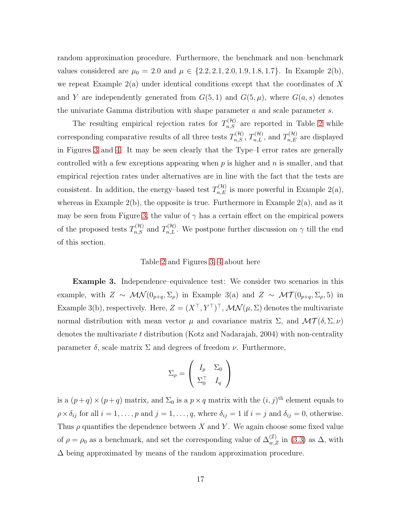random approximation procedure. Furthermore, the benchmark and non–benchmark values considered are  $\mu_0 = 2.0$  and  $\mu \in \{2.2, 2.1, 2.0, 1.9, 1.8, 1.7\}$ . In Example 2(b), we repeat Example  $2(a)$  under identical conditions except that the coordinates of X and Y are independently generated from  $G(5,1)$  and  $G(5,\mu)$ , where  $G(a,s)$  denotes the univariate Gamma distribution with shape parameter a and scale parameter s.

The resulting empirical rejection rates for  $T_{n,S}^{(\mathcal{H})}$  are reported in Table [2](#page-25-0) while corresponding comparative results of all three tests  $T_{n,S}^{(\mathcal{H})}$ ,  $T_{n,L}^{(\mathcal{H})}$ , and  $T_{n,E}^{(\mathcal{H})}$  are displayed in Figures [3](#page-29-0) and [4.](#page-30-0) It may be seen clearly that the Type–I error rates are generally controlled with a few exceptions appearing when  $p$  is higher and  $n$  is smaller, and that empirical rejection rates under alternatives are in line with the fact that the tests are consistent. In addition, the energy-based test  $T_{n,E}^{(\mathcal{H})}$  is more powerful in Example 2(a), whereas in Example  $2(b)$ , the opposite is true. Furthermore in Example  $2(a)$ , and as it may be seen from Figure [3,](#page-29-0) the value of  $\gamma$  has a certain effect on the empirical powers of the proposed tests  $T_{n,S}^{(\mathcal{H})}$  and  $T_{n,L}^{(\mathcal{H})}$ . We postpone further discussion on  $\gamma$  till the end of this section.

#### Table [2](#page-25-0) and Figures [3,](#page-29-0) [4](#page-30-0) about here

Example 3. Independence–equivalence test: We consider two scenarios in this example, with  $Z \sim \mathcal{MN}(0_{p+q}, \Sigma_\rho)$  in Example 3(a) and  $Z \sim \mathcal{MT}(0_{p+q}, \Sigma_\rho, 5)$  in Example 3(b), respectively. Here,  $Z = (X^{\top}, Y^{\top})^{\top}$ ,  $\mathcal{MN}(\mu, \Sigma)$  denotes the multivariate normal distribution with mean vector  $\mu$  and covariance matrix  $\Sigma$ , and  $\mathcal{MT}(\delta, \Sigma, \nu)$ denotes the multivariate t distribution (Kotz and Nadarajah, 2004) with non-centrality parameter  $\delta$ , scale matrix  $\Sigma$  and degrees of freedom  $\nu$ . Furthermore,

$$
\Sigma_{\rho} = \left( \begin{array}{cc} I_p & \Sigma_0 \\ \Sigma_0^{\top} & I_q \end{array} \right)
$$

is a  $(p+q) \times (p+q)$  matrix, and  $\Sigma_0$  is a  $p \times q$  matrix with the  $(i, j)$ <sup>th</sup> element equals to  $\rho \times \delta_{ij}$  for all  $i = 1, \ldots, p$  and  $j = 1, \ldots, q$ , where  $\delta_{ij} = 1$  if  $i = j$  and  $\delta_{ij} = 0$ , otherwise. Thus  $\rho$  quantifies the dependence between X and Y. We again choose some fixed value of  $\rho = \rho_0$  as a benchmark, and set the corresponding value of  $\Delta_{w,Z}^{(\mathcal{I})}$  in [\(3.3\)](#page-8-3) as  $\Delta$ , with  $\Delta$  being approximated by means of the random approximation procedure.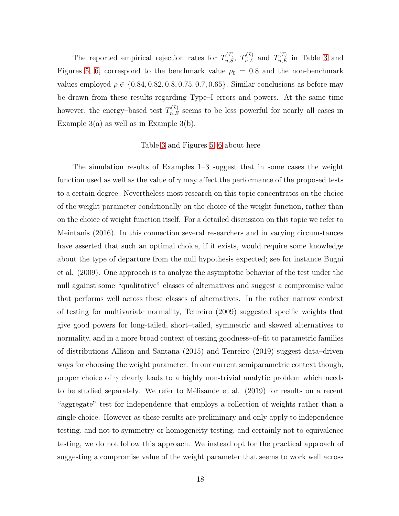The reported empirical rejection rates for  $T_{n,S}^{(\mathcal{I})}$ ,  $T_{n,L}^{(\mathcal{I})}$  and  $T_{n,E}^{(\mathcal{I})}$  in Table [3](#page-26-0) and Figures [5,](#page-31-0) [6,](#page-32-0) correspond to the benchmark value  $\rho_0 = 0.8$  and the non-benchmark values employed  $\rho \in \{0.84, 0.82, 0.8, 0.75, 0.7, 0.65\}$ . Similar conclusions as before may be drawn from these results regarding Type–I errors and powers. At the same time however, the energy-based test  $T_{n,E}^{(\mathcal{I})}$  seems to be less powerful for nearly all cases in Example  $3(a)$  as well as in Example  $3(b)$ .

#### Table [3](#page-26-0) and Figures [5,](#page-31-0) [6](#page-32-0) about here

The simulation results of Examples 1–3 suggest that in some cases the weight function used as well as the value of  $\gamma$  may affect the performance of the proposed tests to a certain degree. Nevertheless most research on this topic concentrates on the choice of the weight parameter conditionally on the choice of the weight function, rather than on the choice of weight function itself. For a detailed discussion on this topic we refer to Meintanis (2016). In this connection several researchers and in varying circumstances have asserted that such an optimal choice, if it exists, would require some knowledge about the type of departure from the null hypothesis expected; see for instance Bugni et al. (2009). One approach is to analyze the asymptotic behavior of the test under the null against some "qualitative" classes of alternatives and suggest a compromise value that performs well across these classes of alternatives. In the rather narrow context of testing for multivariate normality, Tenreiro (2009) suggested specific weights that give good powers for long-tailed, short–tailed, symmetric and skewed alternatives to normality, and in a more broad context of testing goodness–of–fit to parametric families of distributions Allison and Santana (2015) and Tenreiro (2019) suggest data–driven ways for choosing the weight parameter. In our current semiparametric context though, proper choice of  $\gamma$  clearly leads to a highly non-trivial analytic problem which needs to be studied separately. We refer to Mélisande et al. (2019) for results on a recent "aggregate" test for independence that employs a collection of weights rather than a single choice. However as these results are preliminary and only apply to independence testing, and not to symmetry or homogeneity testing, and certainly not to equivalence testing, we do not follow this approach. We instead opt for the practical approach of suggesting a compromise value of the weight parameter that seems to work well across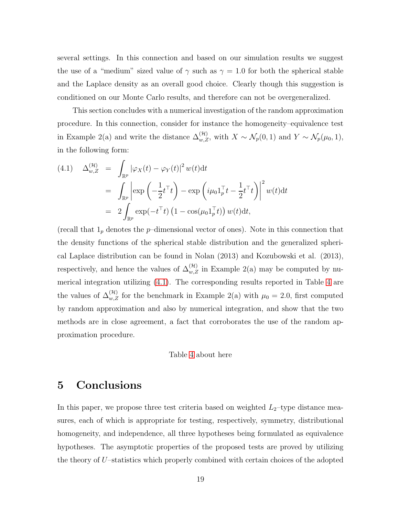several settings. In this connection and based on our simulation results we suggest the use of a "medium" sized value of  $\gamma$  such as  $\gamma = 1.0$  for both the spherical stable and the Laplace density as an overall good choice. Clearly though this suggestion is conditioned on our Monte Carlo results, and therefore can not be overgeneralized.

This section concludes with a numerical investigation of the random approximation procedure. In this connection, consider for instance the homogeneity–equivalence test in Example 2(a) and write the distance  $\Delta_{w,Z}^{(\mathcal{H})}$ , with  $X \sim \mathcal{N}_p(0,1)$  and  $Y \sim \mathcal{N}_p(\mu_0, 1)$ , in the following form:

<span id="page-18-1"></span>
$$
(4.1) \quad \Delta_{w,Z}^{(\mathcal{H})} = \int_{\mathbb{R}^p} |\varphi_X(t) - \varphi_Y(t)|^2 w(t) dt
$$
  

$$
= \int_{\mathbb{R}^p} \left| \exp\left(-\frac{1}{2}t^\top t\right) - \exp\left(i\mu_0 \mathbf{1}_p^\top t - \frac{1}{2}t^\top t\right) \right|^2 w(t) dt
$$
  

$$
= 2 \int_{\mathbb{R}^p} \exp(-t^\top t) \left(1 - \cos(\mu_0 \mathbf{1}_p^\top t)\right) w(t) dt,
$$

(recall that  $1<sub>p</sub>$  denotes the  $p$ -dimensional vector of ones). Note in this connection that the density functions of the spherical stable distribution and the generalized spherical Laplace distribution can be found in Nolan (2013) and Kozubowski et al. (2013), respectively, and hence the values of  $\Delta_{w,Z}^{(\mathcal{H})}$  in Example 2(a) may be computed by numerical integration utilizing [\(4.1\)](#page-18-1). The corresponding results reported in Table [4](#page-33-0) are the values of  $\Delta_{w,Z}^{(\mathcal{H})}$  for the benchmark in Example 2(a) with  $\mu_0 = 2.0$ , first computed by random approximation and also by numerical integration, and show that the two methods are in close agreement, a fact that corroborates the use of the random approximation procedure.

#### Table [4](#page-33-0) about here

## <span id="page-18-0"></span>5 Conclusions

In this paper, we propose three test criteria based on weighted  $L_2$ -type distance measures, each of which is appropriate for testing, respectively, symmetry, distributional homogeneity, and independence, all three hypotheses being formulated as equivalence hypotheses. The asymptotic properties of the proposed tests are proved by utilizing the theory of U–statistics which properly combined with certain choices of the adopted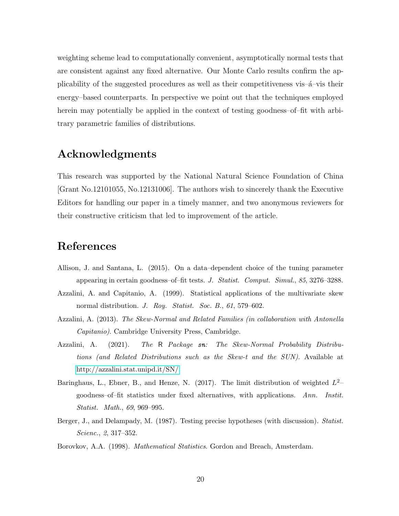weighting scheme lead to computationally convenient, asymptotically normal tests that are consistent against any fixed alternative. Our Monte Carlo results confirm the applicability of the suggested procedures as well as their competitiveness vis– $\acute{a}$ –vis their energy–based counterparts. In perspective we point out that the techniques employed herein may potentially be applied in the context of testing goodness–of–fit with arbitrary parametric families of distributions.

## Acknowledgments

This research was supported by the National Natural Science Foundation of China [Grant No.12101055, No.12131006]. The authors wish to sincerely thank the Executive Editors for handling our paper in a timely manner, and two anonymous reviewers for their constructive criticism that led to improvement of the article.

## References

- Allison, J. and Santana, L. (2015). On a data–dependent choice of the tuning parameter appearing in certain goodness–of–fit tests. *J. Statist. Comput. Simul.*, *85*, 3276–3288.
- Azzalini, A. and Capitanio, A. (1999). Statistical applications of the multivariate skew normal distribution. *J. Roy. Statist. Soc. B.*, *61*, 579–602.
- Azzalini, A. (2013). *The Skew-Normal and Related Families (in collaboration with Antonella Capitanio)*. Cambridge University Press, Cambridge.
- Azzalini, A. (2021). *The* R *Package* sn*: The Skew-Normal Probability Distributions (and Related Distributions such as the Skew-t and the SUN)*. Available at <http://azzalini.stat.unipd.it/SN/>
- Baringhaus, L., Ebner, B., and Henze, N. (2017). The limit distribution of weighted  $L^2$ goodness–of–fit statistics under fixed alternatives, with applications. *Ann. Instit. Statist. Math.*, *69*, 969–995.
- Berger, J., and Delampady, M. (1987). Testing precise hypotheses (with discussion). *Statist. Scienc.*, *2*, 317–352.
- Borovkov, A.A. (1998). *Mathematical Statistics*. Gordon and Breach, Amsterdam.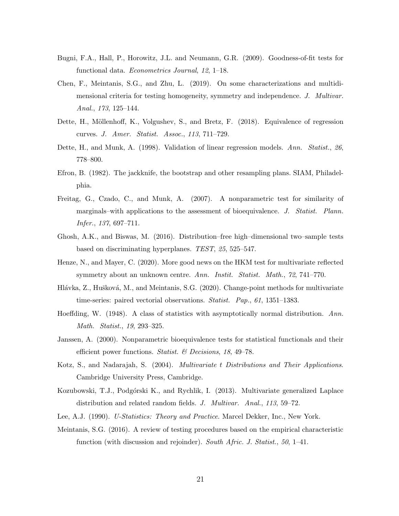- Bugni, F.A., Hall, P., Horowitz, J.L. and Neumann, G.R. (2009). Goodness-of-fit tests for functional data. *Econometrics Journal*, *12*, 1–18.
- Chen, F., Meintanis, S.G., and Zhu, L. (2019). On some characterizations and multidimensional criteria for testing homogeneity, symmetry and independence. *J. Multivar. Anal.*, *173*, 125–144.
- Dette, H., Möllenhoff, K., Volgushev, S., and Bretz, F. (2018). Equivalence of regression curves. *J. Amer. Statist. Assoc.*, *113*, 711–729.
- Dette, H., and Munk, A. (1998). Validation of linear regression models. *Ann. Statist.*, *26*, 778–800.
- Efron, B. (1982). The jackknife, the bootstrap and other resampling plans. SIAM, Philadelphia.
- Freitag, G., Czado, C., and Munk, A. (2007). A nonparametric test for similarity of marginals–with applications to the assessment of bioequivalence. *J. Statist. Plann. Infer.*, *137*, 697–711.
- Ghosh, A.K., and Biswas, M. (2016). Distribution–free high–dimensional two–sample tests based on discriminating hyperplanes. *TEST*, *25*, 525–547.
- Henze, N., and Mayer, C. (2020). More good news on the HKM test for multivariate reflected symmetry about an unknown centre. *Ann. Instit. Statist. Math.*, *72*, 741–770.
- Hlávka, Z., Hušková, M., and Meintanis, S.G. (2020). Change-point methods for multivariate time-series: paired vectorial observations. *Statist. Pap.*, *61*, 1351–1383.
- Hoeffding, W. (1948). A class of statistics with asymptotically normal distribution. *Ann. Math. Statist.*, *19*, 293–325.
- Janssen, A. (2000). Nonparametric bioequivalence tests for statistical functionals and their efficient power functions. *Statist. & Decisions*, *18*, 49–78.
- Kotz, S., and Nadarajah, S. (2004). *Multivariate* t *Distributions and Their Applications*. Cambridge University Press, Cambridge.
- Kozubowski, T.J., Podgórski K., and Rychlik, I. (2013). Multivariate generalized Laplace distribution and related random fields. *J. Multivar. Anal.*, *113*, 59–72.
- Lee, A.J. (1990). *U-Statistics: Theory and Practice*. Marcel Dekker, Inc., New York.
- Meintanis, S.G. (2016). A review of testing procedures based on the empirical characteristic function (with discussion and rejoinder). *South Afric. J. Statist.*, *50*, 1–41.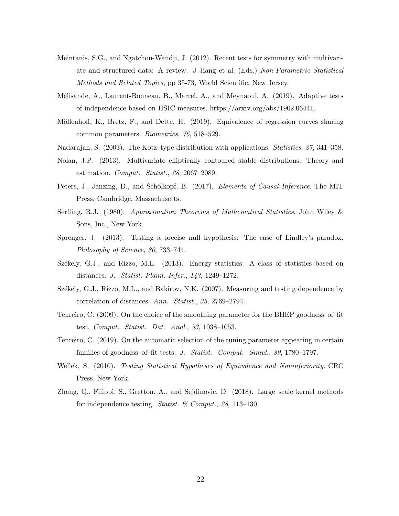- Meintanis, S.G., and Ngatchou-Wandji, J. (2012). Recent tests for symmetry with multivariate and structured data: A review. J Jiang et al. (Eds.) *Non-Parametric Statistical Methods and Related Topics*, pp 35-73, World Scientific, New Jersey.
- Mélisande, A., Laurent-Bonneau, B., Marrel, A., and Meynaoui, A. (2019). Adaptive tests of independence based on HSIC measures. https://arxiv.org/abs/1902.06441.
- Möllenhoff, K., Bretz, F., and Dette, H. (2019). Equivalence of regression curves sharing common parameters. *Biometrics*, *76*, 518–529.
- Nadarajah, S. (2003). The Kotz–type distribution with applications. *Statistics*, *37*, 341–358.
- Nolan, J.P. (2013). Multivariate elliptically contoured stable distributions: Theory and estimation. *Comput. Statist.*, *28*, 2067–2089.
- Peters, J., Janzing, D., and Schölkopf, B. (2017). *Elements of Causal Inference*. The MIT Press, Cambridge, Massachusetts.
- Serfling, R.J. (1980). *Approximation Theorems of Mathematical Statistics*. John Wiley & Sons, Inc., New York.
- Sprenger, J. (2013). Testing a precise null hypothesis: The case of Lindley's paradox. *Philosophy of Science*, *80*, 733–744.
- Székely, G.J., and Rizzo, M.L. (2013). Energy statistics: A class of statistics based on distances. *J. Statist. Plann. Infer.*, *143*, 1249–1272.
- Székely, G.J., Rizzo, M.L., and Bakirov, N.K. (2007). Measuring and testing dependence by correlation of distances. *Ann. Statist.*, *35*, 2769–2794.
- Tenreiro, C. (2009). On the choice of the smoothing parameter for the BHEP goodness–of–fit test. *Comput. Statist. Dat. Anal.*, *53*, 1038–1053.
- Tenreiro, C. (2019). On the automatic selection of the tuning parameter appearing in certain families of goodness–of–fit tests. *J. Statist. Comput. Simul.*, *89*, 1780–1797.
- Wellek, S. (2010). *Testing Statistical Hypotheses of Equivalence and Noninferiority*. CRC Press, New York.
- Zhang, Q., Filippi, S., Gretton, A., and Sejdinovic, D. (2018). Large–scale kernel methods for independence testing. *Statist. & Comput.*, *28*, 113–130.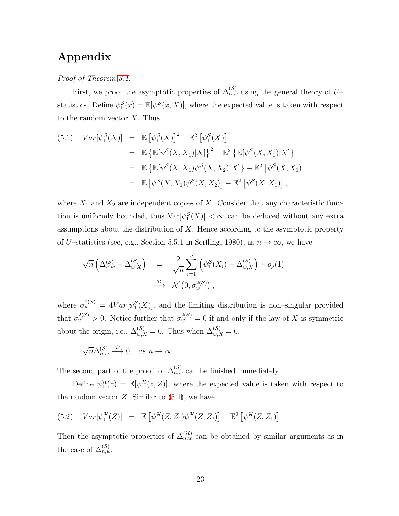## Appendix

*Proof of Theorem [3.1](#page-10-0)*.

First, we proof the asymptotic properties of  $\Delta_{n,w}^{(\mathcal{S})}$  using the general theory of U– statistics. Define  $\psi_1^{\mathcal{S}}(x) = \mathbb{E}[\psi^{\mathcal{S}}(x, X)],$  where the expected value is taken with respect to the random vector  $X$ . Thus

<span id="page-22-0"></span>(5.1) 
$$
Var[\psi_1^{\mathcal{S}}(X)] = \mathbb{E} [\psi_1^{\mathcal{S}}(X)]^2 - \mathbb{E}^2 [\psi_1^{\mathcal{S}}(X)]
$$
  
\n
$$
= \mathbb{E} {\mathbb{E} [\psi^{\mathcal{S}}(X, X_1)|X]}^2 - \mathbb{E}^2 {\mathbb{E} [\psi^{\mathcal{S}}(X, X_1)|X]}^2
$$
  
\n
$$
= \mathbb{E} {\mathbb{E} [\psi^{\mathcal{S}}(X, X_1)\psi^{\mathcal{S}}(X, X_2)|X]} - \mathbb{E}^2 [\psi^{\mathcal{S}}(X, X_1)]
$$
  
\n
$$
= \mathbb{E} [\psi^{\mathcal{S}}(X, X_1)\psi^{\mathcal{S}}(X, X_2)] - \mathbb{E}^2 [\psi^{\mathcal{S}}(X, X_1)],
$$

where  $X_1$  and  $X_2$  are independent copies of X. Consider that any characteristic function is uniformly bounded, thus  $Var[\psi_1^{\mathcal{S}}(X)] < \infty$  can be deduced without any extra assumptions about the distribution of  $X$ . Hence according to the asymptotic property of U–statistics (see, e.g., Section 5.5.1 in Serfling, 1980), as  $n \to \infty$ , we have

$$
\sqrt{n}\left(\Delta_{n,w}^{(\mathcal{S})}-\Delta_{w,X}^{(\mathcal{S})}\right) = \frac{2}{\sqrt{n}}\sum_{i=1}^{n}\left(\psi_1^{\mathcal{S}}(X_i)-\Delta_{w,X}^{(\mathcal{S})}\right)+o_p(1)
$$
  

$$
\xrightarrow{\mathcal{D}} \mathcal{N}\left(0,\sigma_w^{2(\mathcal{S})}\right),
$$

where  $\sigma_w^{2(\mathcal{S})} = 4Var[\psi_1^{\mathcal{S}}(X)]$ , and the limiting distribution is non-singular provided that  $\sigma_w^{2(\mathcal{S})} > 0$ . Notice further that  $\sigma_w^{2(\mathcal{S})} = 0$  if and only if the law of X is symmetric about the origin, i.e.,  $\Delta_{w,X}^{(\mathcal{S})} = 0$ . Thus when  $\Delta_{w,X}^{(\mathcal{S})} = 0$ ,

$$
\sqrt{n}\Delta_{n,w}^{(\mathcal{S})}\xrightarrow{\mathcal{D}}0,\ \ as\ n\to\infty.
$$

The second part of the proof for  $\Delta_{n,w}^{(S)}$  can be finished immediately.

Define  $\psi_1^{\mathcal{H}}(z) = \mathbb{E}[\psi^{\mathcal{H}}(z, Z)],$  where the expected value is taken with respect to the random vector  $Z$ . Similar to  $(5.1)$ , we have

(5.2) 
$$
Var[\psi_1^{\mathcal{H}}(Z)] = \mathbb{E}[\psi^{\mathcal{H}}(Z, Z_1)\psi^{\mathcal{H}}(Z, Z_2)] - \mathbb{E}^2[\psi^{\mathcal{H}}(Z, Z_1)].
$$

Then the asymptotic properties of  $\Delta_{n,w}^{(\mathcal{H})}$  can be obtained by similar arguments as in the case of  $\Delta_{n,w}^{(\mathcal{S})}$ .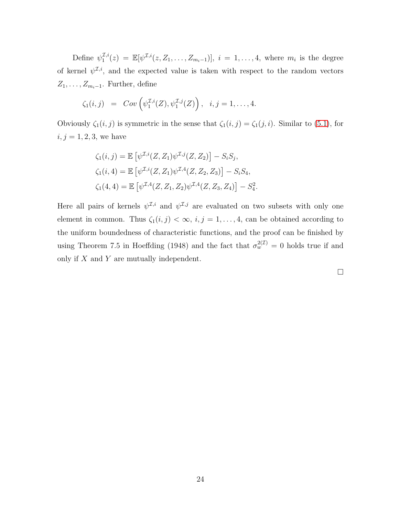Define  $\psi_1^{\mathcal{I},i}$  $\mathcal{I}_{1}^{I,i}(z) = \mathbb{E}[\psi^{\mathcal{I},i}(z, Z_1, \ldots, Z_{m_i-1})], i = 1, \ldots, 4$ , where  $m_i$  is the degree of kernel  $\psi^{\mathcal{I},i}$ , and the expected value is taken with respect to the random vectors  $Z_1, \ldots, Z_{m_i-1}$ . Further, define

$$
\zeta_1(i,j) = Cov\left(\psi_1^{\mathcal{I},i}(Z), \psi_1^{\mathcal{I},j}(Z)\right), \quad i,j=1,\ldots,4.
$$

Obviously  $\zeta_1(i, j)$  is symmetric in the sense that  $\zeta_1(i, j) = \zeta_1(j, i)$ . Similar to [\(5.1\)](#page-22-0), for  $i, j = 1, 2, 3$ , we have

$$
\zeta_1(i,j) = \mathbb{E} \left[ \psi^{\mathcal{I},i}(Z, Z_1) \psi^{\mathcal{I},j}(Z, Z_2) \right] - S_i S_j,
$$
  
\n
$$
\zeta_1(i,4) = \mathbb{E} \left[ \psi^{\mathcal{I},i}(Z, Z_1) \psi^{\mathcal{I},4}(Z, Z_2, Z_3) \right] - S_i S_4,
$$
  
\n
$$
\zeta_1(4,4) = \mathbb{E} \left[ \psi^{\mathcal{I},4}(Z, Z_1, Z_2) \psi^{\mathcal{I},4}(Z, Z_3, Z_4) \right] - S_4^2.
$$

Here all pairs of kernels  $\psi^{\mathcal{I},i}$  and  $\psi^{\mathcal{I},j}$  are evaluated on two subsets with only one element in common. Thus  $\zeta_1(i,j) < \infty$ ,  $i, j = 1, ..., 4$ , can be obtained according to the uniform boundedness of characteristic functions, and the proof can be finished by using Theorem 7.5 in Hoeffding (1948) and the fact that  $\sigma_w^{2(1)} = 0$  holds true if and only if  $X$  and  $Y$  are mutually independent.

 $\Box$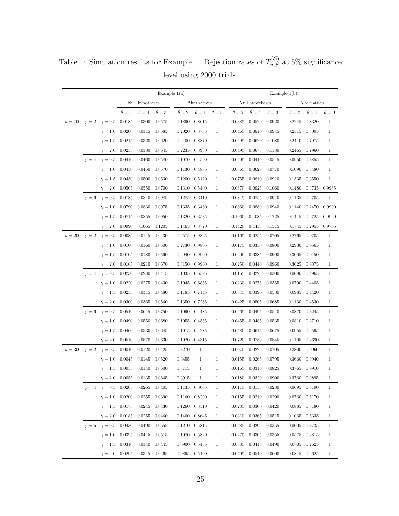|                                  |       |                                                                   | Example $1(a)$  |              |            |                   |              | Example $1(b)$ |                 |                       |            |                   |                   |              |
|----------------------------------|-------|-------------------------------------------------------------------|-----------------|--------------|------------|-------------------|--------------|----------------|-----------------|-----------------------|------------|-------------------|-------------------|--------------|
|                                  |       |                                                                   | Null hypotheses |              |            | Alternatives      |              |                | Null hypotheses |                       |            | Alternatives      |                   |              |
|                                  |       |                                                                   | $\theta = 5$    | $\theta = 4$ | $\theta=3$ | $\theta = 2$      | $\theta = 1$ | $\theta = 0$   | $\theta=5$      | $\theta = 4$          | $\theta=3$ | $\theta = 2$      | $\theta=1$        | $\theta=0$   |
|                                  |       | $n = 100$ $p = 2$ $\gamma = 0.5$                                  | 0.0185          | 0.0300       | 0.0575     | 0.1890            | 0.8615       | $\mathbf{1}$   | 0.0385          | 0.0520                | 0.0920     | 0.2245            | 0.8320            | $\mathbf{1}$ |
|                                  |       | $\gamma=1.0$                                                      | 0.0200          | 0.0315       | 0.0585     | 0.2020            | 0.8755       | $\mathbf{1}$   | 0.0465          | 0.0610                | 0.0945     | 0.2315            | 0.8095            | $\mathbf{1}$ |
|                                  |       | $\gamma=1.5$                                                      | 0.0215          | 0.0320       | 0.0620     | 0.2100            | 0.8870       | 1              | 0.0495          | 0.0620                | 0.1080     | 0.2410            | 0.7975            | $\mathbf{1}$ |
|                                  |       | $\gamma = 2.0$                                                    | 0.0235          | 0.0330       | 0.0645     | 0.2235            | 0.8930       | 1              | 0.0495          | 0.0675                | 0.1130     | 0.2465            | 0.7960            | 1            |
|                                  | $p=4$ | $\gamma = 0.5$                                                    | 0.0410          | 0.0460       | 0.0580     | 0.1070            | 0.4590       | $\mathbf{1}$   | 0.0405          | 0.0440                | 0.0545     | 0.0950            | 0.3855            | $\mathbf{1}$ |
|                                  |       | $\gamma=1.0$                                                      | 0.0430          | 0.0450       | 0.0570     | 0.1130            | 0.4835       | $\mathbf{1}$   | 0.0565          | 0.0625                | 0.0770     | 0.1090            | 0.3480            | $\mathbf{1}$ |
|                                  |       | $\gamma=1.5$                                                      | 0.0430          | 0.0500       | 0.0630     | 0.1200            | 0.5120       | 1              | 0.0755          | 0.0810                | 0.0910     | 0.1335            | 0.3550            | $\mathbf{1}$ |
|                                  |       | $\gamma=2.0$                                                      | 0.0505          | 0.0550       | 0.0700     | 0.1310            | 0.5400       | $\mathbf{1}$   | 0.0870          | 0.0925                | 0.1060     | 0.1480            | 0.3735            | 0.9985       |
|                                  |       | $p = 6 \quad \gamma = 0.5$                                        | 0.0785          | 0.0840       | 0.0985     | 0.1285            | 0.3410       | $\mathbf{1}$   | 0.0815          | 0.0855                | 0.0910     | 0.1135            | 0.2705            | $\mathbf{1}$ |
|                                  |       | $\gamma=1.0$                                                      | 0.0790          | 0.0830       | 0.0975     | 0.1335            | 0.3460       | $\mathbf{1}$   | 0.0860          | 0.0880                | 0.0940     | 0.1140            | 0.2470            | 0.9990       |
|                                  |       | $\gamma=1.5$                                                      | 0.0815          | 0.0855       | 0.0950     | 0.1320            | 0.3535       | 1              | 0.1060          | 0.1085                | 0.1225     | 0.1415            | 0.2725            | 0.9920       |
|                                  |       | $\gamma=2.0$                                                      | 0.0990          | 0.1065       | 0.1205     | 0.1465            | 0.3770       | $\mathbf{1}$   | 0.1420          | 0.1435                | 0.1515     | 0.1745            | 0.2955            | 0.9765       |
| $n=200$                          |       | $p=2$ $\gamma=0.5$                                                | 0.0085          | 0.0145       | 0.0430     | 0.2575            | 0.9825       | $\mathbf{1}$   | 0.0165          | 0.0255                | 0.0705     | 0.2765            | 0.9705            | $\mathbf{1}$ |
|                                  |       | $\gamma=1.0$                                                      | 0.0100          | 0.0160       | 0.0500     | 0.2730            | 0.9865       | $\mathbf{1}$   | 0.0175          | 0.0330                | 0.0800     | 0.2930            | 0.9565            | 1            |
|                                  |       | $\gamma=1.5$                                                      | 0.0105          | 0.0180       | 0.0590     | 0.2940            | 0.9900       | 1              | 0.0200          | 0.0385                | 0.0900     | 0.3005            | 0.9450            | $\mathbf{1}$ |
|                                  |       | $\gamma = 2.0$                                                    | 0.0105          | 0.0210       | 0.0670     | 0.3150            | 0.9900       | $\mathbf{1}$   | 0.0250          | 0.0440                | 0.0960     | 0.3025            | 0.9375            | $\mathbf{1}$ |
|                                  |       | $p=4$ $\gamma=0.5$                                                | 0.0230          | 0.0280       | 0.0415     | 0.1035            | 0.6525       | $\mathbf{1}$   | 0.0165          | 0.0225                | 0.0300     | 0.0680            | 0.4965            | $\mathbf{1}$ |
|                                  |       | $\gamma=1.0$                                                      | 0.0220          | 0.0275       | 0.0430     | 0.1045            | 0.6855       | $\mathbf{1}$   | 0.0230          | 0.0275                | 0.0355     | 0.0790            | 0.4405            | 1            |
|                                  |       | $\gamma=1.5$                                                      | 0.0235          | 0.0315       | 0.0480     | 0.1185            | 0.7145       | $\mathbf{1}$   | 0.0345          | 0.0390                | 0.0530     | 0.0985            | 0.4420            | 1            |
|                                  |       | $\gamma=2.0$                                                      | 0.0300          | 0.0365       | 0.0540     | 0.1350            | 0.7285       | $\mathbf{1}$   | 0.0425          | 0.0505                | 0.0685     | 0.1130            | 0.4530            | $\mathbf{1}$ |
|                                  |       | $p = 6 \quad \gamma = 0.5$                                        | 0.0540          | 0.0615       | 0.0750     | 0.1090            | 0.4485       | $\mathbf{1}$   | 0.0465          | 0.0495                | 0.0540     | 0.0870            | 0.3245            | $\mathbf{1}$ |
|                                  |       | $\gamma=1.0$                                                      | 0.0490          | 0.0550       | 0.0680     | 0.1055            | 0.4555       | $\mathbf{1}$   | 0.0455          | 0.0485                | 0.0535     | 0.0810            | 0.2710            | $\mathbf{1}$ |
|                                  |       | $\gamma=1.5$                                                      | 0.0460          | 0.0530       | 0.0645     | $0.1015$ $0.4285$ |              | 1              | 0.0580          | 0.0615                | 0.0675     | 0.0955            | 0.2595            | 1            |
|                                  |       | $\gamma=2.0$                                                      | 0.0510          | 0.0570       | 0.0630     | 0.1020            | 0.4315       | $\mathbf{1}$   | 0.0720          | 0.0750                | 0.0845     | 0.1105            | 0.2690            | $\mathbf{1}$ |
| $n = 300$ $p = 2$ $\gamma = 0.5$ |       |                                                                   | 0.0040          | 0.0120       | 0.0425     | 0.3270            | $\mathbf{1}$ | $\mathbf{1}$   | 0.0070          | 0.0225                | 0.0705     | 0.3800            | 0.9960            | $\mathbf{1}$ |
|                                  |       | $\gamma=1.0$                                                      | 0.0045          | 0.0145       | 0.0520     | 0.3455            | $\mathbf{1}$ | 1              | 0.0155          | 0.0265                | 0.0795     | 0.3660            | 0.9940            | $\mathbf{1}$ |
|                                  |       | $\gamma=1.5$                                                      | 0.0055          | 0.0140       | 0.0600     | 0.3715            | $\mathbf{1}$ | $\mathbf{1}$   | 0.0165          | 0.0310                | 0.0825     | 0.3765            | 0.9910            | $\mathbf{1}$ |
|                                  |       | $\gamma = 2.0$ 0.0055 0.0135                                      |                 |              | 0.0645     | 0.3915            | $\mathbf{1}$ | $\mathbf{1}$   |                 | $0.0180 \quad 0.0320$ | 0.0900     |                   | 0.3760 0.9895     | $\mathbf{1}$ |
|                                  |       | $p = 4 \quad \gamma = 0.5 \quad 0.0205 \quad 0.0265 \quad 0.0405$ |                 |              |            | 0.1135 0.8065     |              | $\mathbf{1}$   | 0.0115          | 0.0155 0.0280         |            |                   | $0.0695$ $0.6190$ | $\mathbf{1}$ |
|                                  |       | $\gamma = 1.0$ 0.0200 0.0255                                      |                 |              | 0.0390     | 0.1160 0.8290     |              | $\mathbf{1}$   | 0.0155          | $0.0210$ $0.0290$     |            | 0.0760            | 0.5170            | 1            |
|                                  |       | $\gamma = 1.5$ 0.0175                                             |                 | 0.0245       | 0.0430     | 0.1260            | 0.8510       | $\mathbf{1}$   | 0.0235          | 0.0300                | 0.0420     | 0.0885            | 0.5180            | 1            |
|                                  |       | $\gamma = 2.0$ 0.0185                                             |                 | 0.0255       | 0.0460     | 0.1400            | 0.8645       | $\mathbf{1}$   | 0.0310          | 0.0365                | 0.0515     | 0.1065            | 0.5335            | $\mathbf{1}$ |
|                                  |       | $p = 6 \quad \gamma = 0.5 \quad 0.0430$                           |                 | 0.0490       | 0.0655     | 0.1210            | 0.5815       | $\mathbf{1}$   | 0.0285          | 0.0295                | 0.0355     | 0.0605            | 0.3735            | $\mathbf{1}$ |
|                                  |       | $\gamma = 1.0$ 0.0395                                             |                 | 0.0415       | 0.0515     | 0.1080            | 0.5820       | $\mathbf{1}$   | 0.0275          | 0.0305                | 0.0355     | 0.0575            | 0.2815            | 1            |
|                                  |       | $\gamma = 1.5$ 0.0310 0.0340                                      |                 |              | 0.0445     | 0.0900            | 0.5485       | $\mathbf{1}$   | 0.0385          | 0.0415                | 0.0490     | 0.0705            | 0.2625            | 1            |
|                                  |       | $\gamma = 2.0$ 0.0295                                             |                 | 0.0345       | 0.0465     | 0.0895 0.5400     |              | $\mathbf{1}$   | 0.0505          | 0.0540                | 0.0600     | $0.0815$ $0.2625$ |                   | 1            |

<span id="page-24-0"></span>Table 1: Simulation results for Example 1. Rejection rates of  $T_{n,S}^{(S)}$  at 5% significance level using 2000 trials.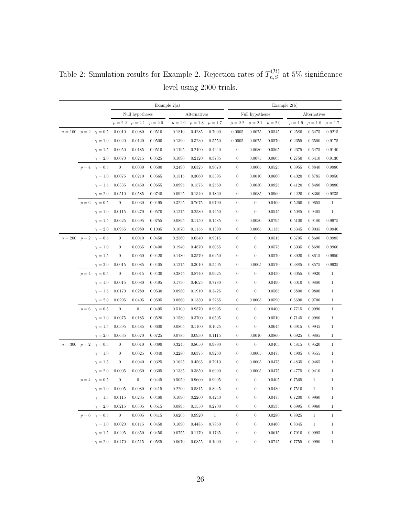Example  $2(a)$  Example  $2(b)$ Null hypotheses Alternatives Null hypotheses Alternatives  $\mu = 2.2 \mu = 2.1 \mu = 2.0 \mu = 1.9 \mu = 1.8 \mu = 1.7 \mu = 2.2 \mu = 2.1 \mu = 2.0 \mu = 1.9 \mu = 1.8 \mu = 1.7$  $n=100 \quad p=2 \quad \gamma=0.5 \quad 0.0010 \quad 0.0080 \quad 0.0510 \qquad 0.1810 \quad 0.4285 \quad 0.7090 \qquad 0.0005 \quad 0.0075 \quad 0.0545 \qquad 0.2580 \quad 0.6475 \quad 0.9215$  $\gamma=1.0$  0.0020 0.0120 0.0500 0.1390 0.3230 0.5550 0.0005 0.0075 0.0570 0.2655 0.6500 0.9175  $\gamma=1.5$  0.0050 0.0185 0.0510 0.1195 0.2490 0.4240 0 0.0080 0.0565 0.2675 0.6475 0.9140  $\gamma=2.0$  0.0070 0.0215 0.0525 0.1090 0.2120 0.3735 0 0.0075 0.0605 0.2750 0.6410 0.9130  $p = 4$   $\gamma = 0.5$  0 0.0030 0.0500 0.2490 0.6325 0.9070 0 0.0005 0.0525 0.3955 0.8840 0.9980  $\gamma=1.0$  0.0075 0.0210 0.0565 0.1515 0.3060 0.5395 0 0.0010 0.0660 0.4020 0.8785 0.9950  $\gamma=1.5$  0.0335 0.0450 0.0655 0.0995 0.1575 0.2560 0 0.0030 0.0825 0.4120 0.8480 0.9880  $\gamma=2.0$  0.0510 0.0585 0.0740 0.0925 0.1340 0.1860 0 0.0085 0.0960 0.4220 0.8360 0.9835  $p = 6$   $\gamma = 0.5$  0 0.0030 0.0495 0.3225 0.7675 0.9790 0 0 0.0400 0.5260 0.9655 1  $\gamma = 1.0$  0.0115 0.0270 0.0570 0.1275 0.2580 0.4450 0 0 0.0545 0.5085 0.9405 1  $\gamma=1.5$  0.0625 0.0695 0.0755 0.0895 0.1150 0.1485 0 0.0030 0.0795 0.5100 0.9180 0.9975  $\gamma=2.0$  0.0955 0.0980 0.1035 0.1070 0.1155 0.1390 0 0.0065 0.1135 0.5345 0.9035 0.9940  $n = 200$   $p = 2$   $\gamma = 0.5$  0 0.0010 0.0450 0.2560 0.6540 0.9315 0 0 0.0515 0.3795 0.8600 0.9985  $\gamma=1.0$  0 0.0035 0.0400 0.1940 0.4870 0.8055 0 0 0.0575 0.3935 0.8690 0.9960  $\gamma = 1.5$  0 0.0060 0.0420 0.1480 0.3570 0.6250 0 0 0.0570 0.3920 0.8615 0.9950  $\gamma=2.0$  0.0015 0.0085 0.0405 0.1275 0.3010 0.5405 0 0.0005 0.0570 0.3885 0.8575 0.9935  $p = 4$   $\gamma = 0.5$  0 0.0015 0.0430 0.3845 0.8740 0.9925 0 0 0.0450 0.6055 0.9920 1  $\gamma=1.0$  0.0015 0.0080 0.0495 0.1750 0.4625 0.7780 0 0 0.0490 0.6010 0.9880 1  $\gamma=1.5$  0.0170 0.0280 0.0530 0.0980 0.1910 0.3425 0 0 0.0565 0.5800 0.9800 1  $\gamma=2.0$  0.0295 0.0405 0.0595 0.0860 0.1350 0.2265 0 0.0005 0.0590 0.5690 0.9700 1  $p = 6$   $\gamma = 0.5$  0 0 0.0495 0.5100 0.9570 0.9995 0 0 0.0400 0.7715 0.9990 1  $\gamma=1.0$  0.0075 0.0185 0.0520 0.1580 0.3700 0.6505 0 0 0.0510 0.7145 0.9980 1  $\gamma=1.5$  0.0395 0.0485 0.0600 0.0805 0.1100 0.1625 0 0 0.0645 0.6915 0.9945 1  $\gamma=2.0$  0.0635 0.0670 0.0725 0.0785 0.0930 0.1115 0 0.0010 0.0860 0.6925 0.9885 1  $n = 300 \quad p = 2 \quad \gamma = 0.5 \qquad \quad 0 \qquad \quad 0.0010 \quad \quad 0.0390 \qquad \quad 0.3245 \qquad \quad 0.8050 \qquad \quad 0.9890 \qquad \qquad 0 \qquad \quad 0 \qquad \quad 0 \qquad \quad 0.0405 \qquad \quad 0.4815 \qquad \quad 0.9520 \qquad \quad 1 \qquad \quad 0 \qquad \quad 0 \qquad \quad 0 \qquad \quad 0 \qquad \quad 0 \qquad \quad 0 \qquad \quad 0 \qquad \quad 0 \qquad \quad 0 \qquad \quad$  $\gamma=1.0$  0 0.0025 0.0340 0.2280 0.6375 0.9260 0 0.0005 0.0475 0.4905 0.9555 1  $\gamma=1.5$  0 0.0040 0.0325 0.1625 0.4565 0.7910 0 0.0005 0.0475 0.4835 0.9465 1  $\gamma=2.0$  0.0005 0.0060 0.0305 0.1335 0.3850 0.6990 0 0.0005 0.0475 0.4775 0.9410 1  $p = 4$   $\gamma = 0.5$  0 0 0.0445 0.5050 0.9600 0.9995 0 0 0.0405 0.7565 1 1  $\gamma = 1.0$  0.0005 0.0080 0.0415 0.2200 0.5815 0.8945 0 0 0.0480 0.7510 1 1  $\gamma = 1.5$  0.0115 0.0235 0.0480 0.1090 0.2260 0.4240 0 0 0.0475 0.7200 0.9980 1  $\gamma=2.0$  0.0215 0.0305 0.0515 0.0895 0.1550 0.2700 0 0 0.0535 0.6995 0.9960 1  $p = 6 \quad \gamma = 0.5 \qquad 0 \qquad 0.0005 \quad 0.0415 \qquad 0.6205 \quad 0.9920 \qquad 1 \qquad \qquad 0 \qquad \qquad 0 \qquad 0.0280 \qquad 0.8925 \qquad 1 \qquad \qquad 1$  $\gamma = 1.0$  0.0020 0.0115 0.0450 0.1690 0.4485 0.7850 0 0 0.0460 0.8345 1 1  $\gamma=1.5$  0.0295 0.0350 0.0450 0.0755 0.1170 0.1735 0 0 0.0615 0.7910 0.9995 1  $\gamma=2.0$  0.0470 0.0515 0.0585 0.0670 0.0855 0.1090 0 0 0.0745 0.7755 0.9990 1

<span id="page-25-0"></span>Table 2: Simulation results for Example 2. Rejection rates of  $T_{n,S}^{(\mathcal{H})}$  at 5% significance level using 2000 trials.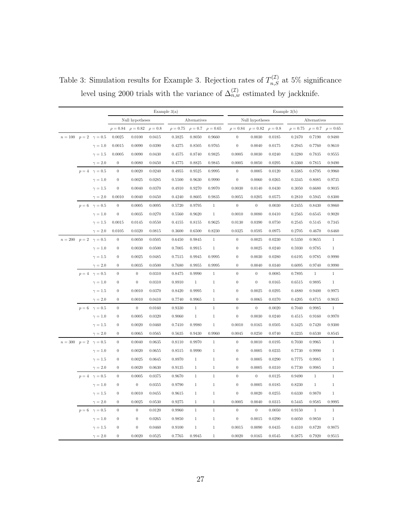|                                  |                            |                  |                  | Example $3(a)$ |               |              | Example $3(b)$ |                  |                |              |               |              |               |
|----------------------------------|----------------------------|------------------|------------------|----------------|---------------|--------------|----------------|------------------|----------------|--------------|---------------|--------------|---------------|
|                                  |                            | Null hypotheses  |                  |                | Alternatives  |              |                | Null hypotheses  |                |              | Alternatives  |              |               |
|                                  |                            | $\rho = 0.84$    | $\rho = 0.82$    | $\rho = 0.8$   | $\rho = 0.75$ | $\rho = 0.7$ | $\rho = 0.65$  | $\rho = 0.84$    | $\rho = 0.82$  | $\rho = 0.8$ | $\rho = 0.75$ | $\rho = 0.7$ | $\rho = 0.65$ |
| $n = 100$ $p = 2$ $\gamma = 0.5$ |                            | 0.0025           | 0.0100           | 0.0415         | 0.3825        | 0.8050       | 0.9660         | $\theta$         | 0.0030         | 0.0185       | 0.2470        | 0.7190       | 0.9480        |
|                                  | $\gamma=1.0$               | 0.0015           | 0.0090           | 0.0390         | 0.4275        | 0.8505       | 0.9765         | $\boldsymbol{0}$ | 0.0040         | 0.0175       | 0.2945        | 0.7760       | 0.9610        |
|                                  | $\gamma = 1.5$             | 0.0005           | 0.0090           | 0.0430         | 0.4575        | 0.8740       | 0.9825         | 0.0005           | 0.0030         | 0.0240       | 0.3280        | 0.7835       | $0.9555\,$    |
|                                  | $\gamma = 2.0$             | $\theta$         | 0.0080           | 0.0450         | 0.4775        | 0.8825       | 0.9845         | 0.0005           | 0.0050         | 0.0295       | 0.3360        | 0.7815       | 0.9490        |
|                                  | $p = 4 \quad \gamma = 0.5$ | $\boldsymbol{0}$ | 0.0020           | 0.0240         | 0.4955        | 0.9525       | 0.9995         | $\mathbf{0}$     | 0.0005         | 0.0120       | 0.3385        | 0.8795       | 0.9960        |
|                                  | $\gamma=1.0$               | $\boldsymbol{0}$ | 0.0025           | 0.0285         | 0.5500        | 0.9630       | 0.9990         | $\boldsymbol{0}$ | 0.0060         | 0.0265       | 0.3345        | 0.8085       | 0.9735        |
|                                  | $\gamma=1.5$               | $\overline{0}$   | 0.0040           | 0.0370         | 0.4910        | 0.9270       | 0.9970         | 0.0030           | 0.0140         | 0.0430       | 0.3050        | 0.6680       | 0.9035        |
|                                  | $\gamma=2.0$               | 0.0010           | 0.0040           | 0.0450         | 0.4240        | 0.8605       | 0.9835         | 0.0055           | 0.0205         | 0.0575       | 0.2810        | 0.5945       | 0.8300        |
|                                  | $p = 6$ $\gamma = 0.5$     | $\theta$         | 0.0005           | 0.0095         | 0.5720        | 0.9795       | 1              | $\overline{0}$   | $\overline{0}$ | 0.0030       | 0.2455        | 0.8430       | 0.9860        |
|                                  | $\gamma=1.0$               | $\mathbf{0}$     | 0.0035           | 0.0270         | 0.5560        | 0.9620       | $\mathbf{1}$   | 0.0010           | 0.0080         | 0.0410       | 0.2565        | 0.6545       | 0.9020        |
|                                  | $\gamma = 1.5$             | 0.0015           | 0.0145           | 0.0550         | 0.4155        | 0.8155       | 0.9625         | 0.0130           | 0.0390         | 0.0750       | 0.2545        | 0.5145       | 0.7345        |
|                                  | $\gamma = 2.0$             | 0.0105           | 0.0320           | 0.0815         | 0.3600        | 0.6500       | 0.8230         | 0.0325           | 0.0595         | 0.0975       | 0.2705        | 0.4670       | 0.6460        |
| $n = 200$ $p = 2$ $\gamma = 0.5$ |                            | $\boldsymbol{0}$ | 0.0050           | 0.0505         | 0.6450        | 0.9845       | $\mathbf{1}$   | $\theta$         | 0.0025         | 0.0230       | 0.5350        | 0.9655       | $\mathbf{1}$  |
|                                  | $\gamma=1.0$               | $\boldsymbol{0}$ | 0.0030           | 0.0500         | 0.7005        | 0.9915       | $\mathbf{1}$   | $\theta$         | 0.0025         | 0.0240       | 0.5930        | 0.9785       | $\mathbf{1}$  |
|                                  | $\gamma=1.5$               | $\overline{0}$   | 0.0025           | 0.0485         | 0.7515        | 0.9945       | 0.9995         | $\theta$         | 0.0030         | 0.0280       | 0.6195        | 0.9785       | 0.9990        |
|                                  | $\gamma = 2.0$             | $\boldsymbol{0}$ | 0.0035           | 0.0500         | 0.7680        | 0.9955       | 0.9995         | $\theta$         | 0.0040         | 0.0340       | 0.6095        | 0.9740       | 0.9990        |
|                                  | $p=4$ $\gamma=0.5$         | $\boldsymbol{0}$ | $\boldsymbol{0}$ | 0.0310         | 0.8475        | 0.9990       | $\mathbf{1}$   | $\theta$         | $\overline{0}$ | 0.0085       | 0.7895        | $\mathbf{1}$ | $\mathbf{1}$  |
|                                  | $\gamma=1.0$               | $\boldsymbol{0}$ | $\boldsymbol{0}$ | 0.0310         | 0.8910        | $\mathbf{1}$ | $\mathbf{1}$   | $\boldsymbol{0}$ | $\theta$       | 0.0165       | 0.6515        | 0.9895       | $\mathbf{1}$  |
|                                  | $\gamma=1.5$               | $\boldsymbol{0}$ | 0.0010           | 0.0370         | 0.8420        | 0.9995       | $\mathbf{1}$   | $\theta$         | 0.0025         | 0.0295       | 0.4880        | 0.9400       | 0.9975        |
|                                  | $\gamma = 2.0$             | $\mathbf{0}$     | 0.0010           | 0.0410         | 0.7740        | 0.9965       | 1              | $\theta$         | 0.0065         | 0.0370       | 0.4205        | 0.8715       | 0.9835        |
|                                  | $p = 6$ $\gamma = 0.5$     | $\boldsymbol{0}$ | $\theta$         | 0.0160         | 0.9330        | 1            | $\mathbf{1}$   | $\theta$         | $\theta$       | 0.0020       | 0.7040        | 0.9985       | 1             |
|                                  | $\gamma=1.0$               | $\boldsymbol{0}$ | 0.0005           | 0.0320         | 0.9060        | $\mathbf{1}$ | $\mathbf{1}$   | $\boldsymbol{0}$ | 0.0030         | 0.0240       | 0.4515        | 0.9160       | 0.9970        |
|                                  | $\gamma=1.5$               | $\boldsymbol{0}$ | 0.0020           | 0.0460         | 0.7410        | $0.9980\,$   | $\mathbf{1}$   | 0.0010           | 0.0165         | 0.0505       | 0.3425        | 0.7420       | 0.9300        |
|                                  | $\gamma = 2.0$             | $\boldsymbol{0}$ | 0.0065           | 0.0565         | 0.5635        | 0.9430       | 0.9960         | 0.0045           | 0.0250         | 0.0740       | 0.3235        | 0.6530       | 0.8545        |
| $n = 300$ $p = 2$ $\gamma = 0.5$ |                            | $\boldsymbol{0}$ | 0.0040           | 0.0635         | 0.8110        | 0.9970       | $\mathbf{1}$   | $\boldsymbol{0}$ | 0.0010         | 0.0195       | 0.7030        | 0.9965       | $\,1$         |
|                                  | $\gamma=1.0$               | $\boldsymbol{0}$ | 0.0020           | 0.0655         | 0.8515        | 0.9990       | $\mathbf{1}$   | $\theta$         | 0.0005         | 0.0235       | 0.7730        | 0.9990       | $\mathbf{1}$  |
|                                  | $\gamma=1.5$               | $\overline{0}$   | 0.0025           | 0.0645         | 0.8970        | $\mathbf{1}$ | $\mathbf{1}$   | $\theta$         | 0.0005         | 0.0290       | 0.7775        | 0.9985       | $\mathbf{1}$  |
|                                  | $\gamma = 2.0$             | $\overline{0}$   | 0.0020           | 0.0630         | 0.9135        | 1            | 1              | $\theta$         | 0.0005         | 0.0310       | 0.7730        | 0.9985       | 1             |
|                                  | $p=4$ $\gamma=0.5$         | $\boldsymbol{0}$ | 0.0005           | 0.0375         | 0.9670        | $\mathbf{1}$ | $\mathbf{1}$   | $\theta$         | $\theta$       | 0.0125       | 0.9490        | $\mathbf{1}$ | $\mathbf{1}$  |
|                                  | $\gamma=1.0$               | $\boldsymbol{0}$ | $\theta$         | 0.0355         | 0.9790        | $\mathbf{1}$ | $\mathbf{1}$   | $\theta$         | 0.0005         | 0.0185       | 0.8230        | $\mathbf{1}$ | $\mathbf{1}$  |
|                                  | $\gamma=1.5$               | $\boldsymbol{0}$ | 0.0010           | 0.0455         | 0.9615        | 1            | $\mathbf{1}$   | $\boldsymbol{0}$ | 0.0020         | 0.0255       | 0.6330        | 0.9870       | $\mathbf{1}$  |
|                                  | $\gamma=2.0$               | $\boldsymbol{0}$ | 0.0025           | 0.0530         | 0.9275        | $\mathbf{1}$ | $\mathbf{1}$   | 0.0005           | 0.0040         | 0.0315       | 0.5445        | 0.9585       | 0.9995        |
|                                  | $p = 6$ $\gamma = 0.5$     | $\boldsymbol{0}$ | $\boldsymbol{0}$ | 0.0120         | 0.9960        | 1            | $\mathbf{1}$   | $\theta$         | $\overline{0}$ | 0.0050       | 0.9150        | $\mathbf{1}$ | $\mathbf{1}$  |
|                                  | $\gamma = 1.0$             | $\boldsymbol{0}$ | $\boldsymbol{0}$ | 0.0265         | 0.9850        | 1            | $\mathbf{1}$   | $\theta$         | 0.0015         | 0.0290       | 0.6050        | 0.9850       | $\mathbf{1}$  |
|                                  | $\gamma=1.5$               | $\overline{0}$   | $\boldsymbol{0}$ | 0.0460         | 0.9100        | $\mathbf{1}$ | $\,1$          | 0.0015           | 0.0090         | 0.0435       | 0.4310        | 0.8720       | 0.9875        |
|                                  | $\gamma=2.0$               | $\theta$         | 0.0020           | 0.0525         | 0.7765        | 0.9945       | 1              | 0.0020           | 0.0165         | 0.0545       | 0.3875        | 0.7920       | 0.9515        |

<span id="page-26-0"></span>Table 3: Simulation results for Example 3. Rejection rates of  $T_{n,S}^{(\mathcal{I})}$  at 5% significance level using 2000 trials with the variance of  $\Delta_{n,w}^{(\mathcal{I})}$  estimated by jackknife.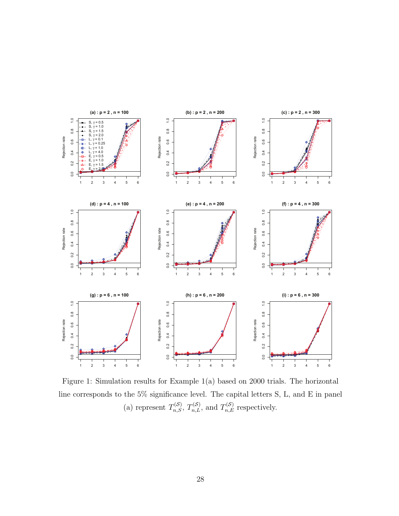

<span id="page-27-0"></span>Figure 1: Simulation results for Example 1(a) based on 2000 trials. The horizontal line corresponds to the 5% significance level. The capital letters S, L, and E in panel (a) represent  $T_{n,S}^{(S)}$ ,  $T_{n,L}^{(S)}$ , and  $T_{n,E}^{(S)}$  respectively.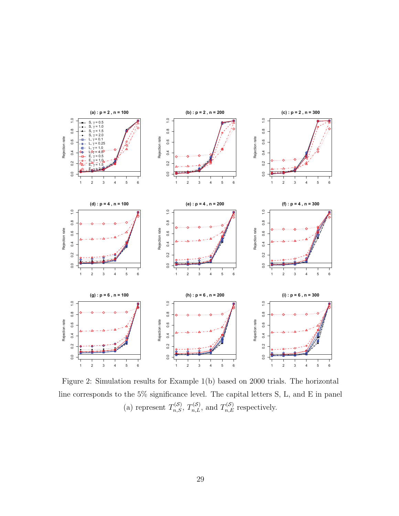

<span id="page-28-0"></span>Figure 2: Simulation results for Example 1(b) based on 2000 trials. The horizontal line corresponds to the 5% significance level. The capital letters S, L, and E in panel (a) represent  $T_{n,S}^{(S)}$ ,  $T_{n,L}^{(S)}$ , and  $T_{n,E}^{(S)}$  respectively.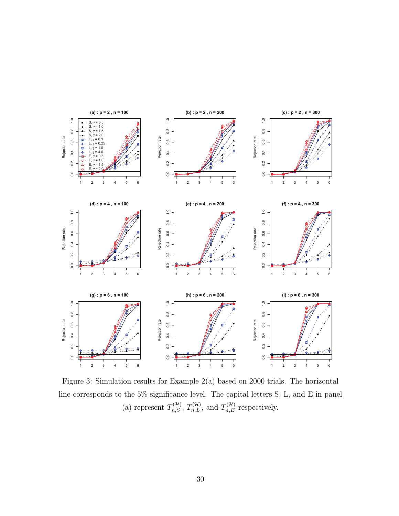

<span id="page-29-0"></span>Figure 3: Simulation results for Example 2(a) based on 2000 trials. The horizontal line corresponds to the 5% significance level. The capital letters S, L, and E in panel (a) represent  $T_{n,S}^{(\mathcal{H})}$ ,  $T_{n,L}^{(\mathcal{H})}$ , and  $T_{n,E}^{(\mathcal{H})}$  respectively.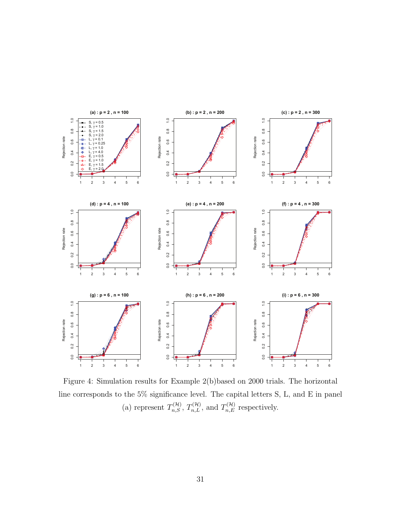

<span id="page-30-0"></span>Figure 4: Simulation results for Example 2(b)based on 2000 trials. The horizontal line corresponds to the 5% significance level. The capital letters S, L, and E in panel (a) represent  $T_{n,S}^{(\mathcal{H})}$ ,  $T_{n,L}^{(\mathcal{H})}$ , and  $T_{n,E}^{(\mathcal{H})}$  respectively.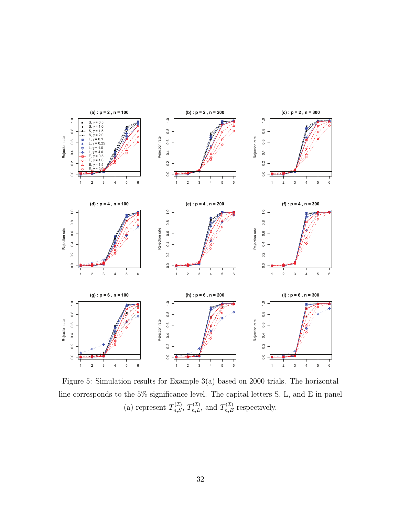

<span id="page-31-0"></span>Figure 5: Simulation results for Example 3(a) based on 2000 trials. The horizontal line corresponds to the 5% significance level. The capital letters S, L, and E in panel (a) represent  $T_{n,S}^{(\mathcal{I})}$ ,  $T_{n,L}^{(\mathcal{I})}$ , and  $T_{n,E}^{(\mathcal{I})}$  respectively.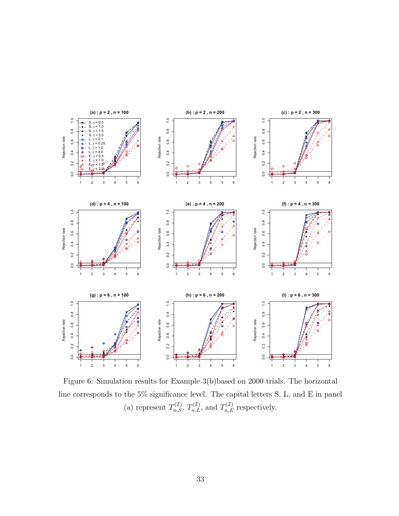

<span id="page-32-0"></span>Figure 6: Simulation results for Example 3(b)based on 2000 trials. The horizontal line corresponds to the 5% significance level. The capital letters S, L, and E in panel (a) represent  $T_{n,S}^{(\mathcal{I})}$ ,  $T_{n,L}^{(\mathcal{I})}$ , and  $T_{n,E}^{(\mathcal{I})}$  respectively.